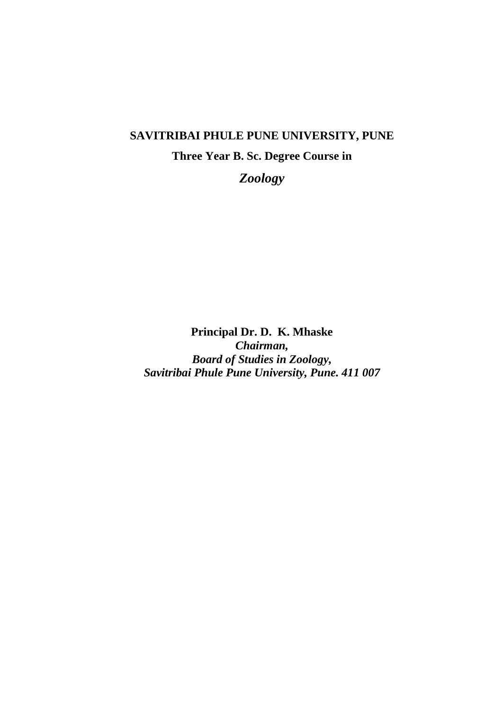# **SAVITRIBAI PHULE PUNE UNIVERSITY, PUNE**

# **Three Year B. Sc. Degree Course in**

*Zoology*

**Principal Dr. D. K. Mhaske** *Chairman, Board of Studies in Zoology, Savitribai Phule Pune University, Pune. 411 007*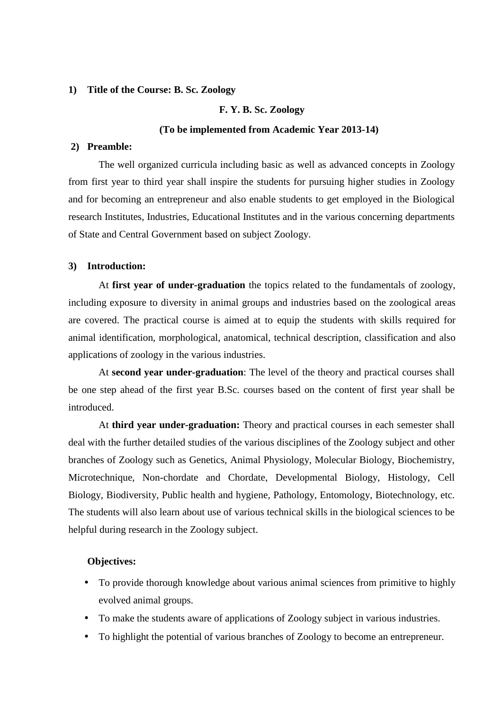#### **1) Title of the Course: B. Sc. Zoology**

#### **F. Y. B. Sc. Zoology**

#### **(To be implemented from Academic Year 2013-14)**

#### **2) Preamble:**

The well organized curricula including basic as well as advanced concepts in Zoology from first year to third year shall inspire the students for pursuing higher studies in Zoology and for becoming an entrepreneur and also enable students to get employed in the Biological research Institutes, Industries, Educational Institutes and in the various concerning departments of State and Central Government based on subject Zoology.

#### **3) Introduction:**

At **first year of under-graduation** the topics related to the fundamentals of zoology, including exposure to diversity in animal groups and industries based on the zoological areas are covered. The practical course is aimed at to equip the students with skills required for animal identification, morphological, anatomical, technical description, classification and also applications of zoology in the various industries.

At **second year under-graduation**: The level of the theory and practical courses shall be one step ahead of the first year B.Sc. courses based on the content of first year shall be introduced.

At **third year under-graduation:** Theory and practical courses in each semester shall deal with the further detailed studies of the various disciplines of the Zoology subject and other branches of Zoology such as Genetics, Animal Physiology, Molecular Biology, Biochemistry, Microtechnique, Non-chordate and Chordate, Developmental Biology, Histology, Cell Biology, Biodiversity, Public health and hygiene, Pathology, Entomology, Biotechnology, etc. The students will also learn about use of various technical skills in the biological sciences to be helpful during research in the Zoology subject.

#### **Objectives:**

- To provide thorough knowledge about various animal sciences from primitive to highly evolved animal groups.
- To make the students aware of applications of Zoology subject in various industries.
- To highlight the potential of various branches of Zoology to become an entrepreneur.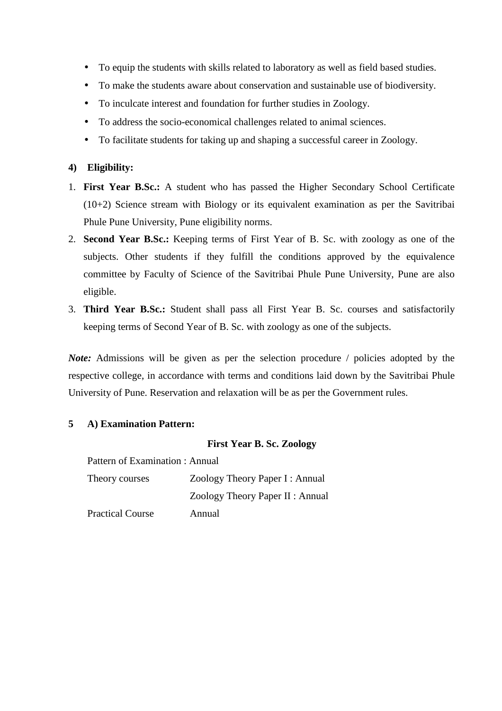- To equip the students with skills related to laboratory as well as field based studies.
- To make the students aware about conservation and sustainable use of biodiversity.
- To inculcate interest and foundation for further studies in Zoology.
- To address the socio-economical challenges related to animal sciences.
- To facilitate students for taking up and shaping a successful career in Zoology.

## **4) Eligibility:**

- 1. **First Year B.Sc.:** A student who has passed the Higher Secondary School Certificate (10+2) Science stream with Biology or its equivalent examination as per the Savitribai Phule Pune University, Pune eligibility norms.
- 2. **Second Year B.Sc.:** Keeping terms of First Year of B. Sc. with zoology as one of the subjects. Other students if they fulfill the conditions approved by the equivalence committee by Faculty of Science of the Savitribai Phule Pune University, Pune are also eligible.
- 3. **Third Year B.Sc.:** Student shall pass all First Year B. Sc. courses and satisfactorily keeping terms of Second Year of B. Sc. with zoology as one of the subjects.

*Note:* Admissions will be given as per the selection procedure / policies adopted by the respective college, in accordance with terms and conditions laid down by the Savitribai Phule University of Pune. Reservation and relaxation will be as per the Government rules.

## **5 A) Examination Pattern:**

### **First Year B. Sc. Zoology**

Pattern of Examination : Annual

| Theory courses          | Zoology Theory Paper I: Annual   |
|-------------------------|----------------------------------|
|                         | Zoology Theory Paper II : Annual |
| <b>Practical Course</b> | Annual                           |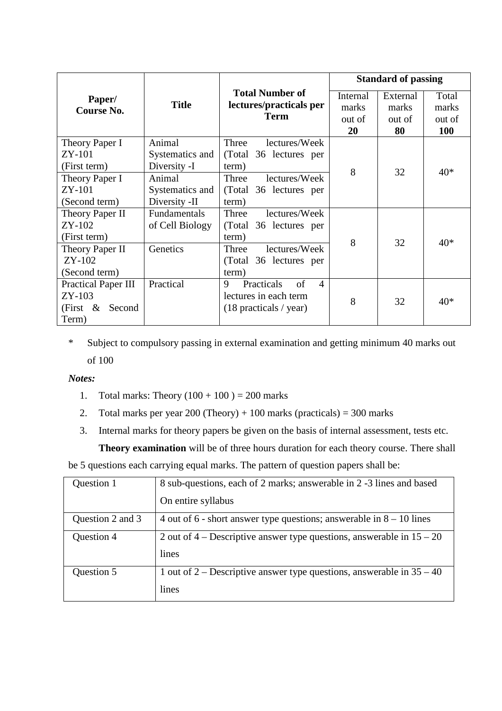|                            |                     |                                   |          | <b>Standard of passing</b> |            |
|----------------------------|---------------------|-----------------------------------|----------|----------------------------|------------|
| Paper/                     |                     | <b>Total Number of</b>            | Internal | External                   | Total      |
| Course No.                 | <b>Title</b>        | lectures/practicals per           | marks    | marks                      | marks      |
|                            |                     | <b>Term</b>                       | out of   | out of                     | out of     |
|                            |                     |                                   | 20       | 80                         | <b>100</b> |
| Theory Paper I             | Animal              | lectures/Week<br>Three            |          |                            |            |
| ZY-101                     | Systematics and     | (Total 36 lectures per            |          |                            |            |
| (First term)               | Diversity -I        | term)                             | 8        | 32                         | $40*$      |
| Theory Paper I             | Animal              | lectures/Week<br>Three            |          |                            |            |
| $ZY-101$                   | Systematics and     | (Total 36 lectures per            |          |                            |            |
| (Second term)              | Diversity -II       | term)                             |          |                            |            |
| Theory Paper II            | <b>Fundamentals</b> | lectures/Week<br>Three            |          |                            |            |
| ZY-102                     | of Cell Biology     | (Total 36 lectures per            |          |                            |            |
| (First term)               |                     | term)                             | 8        | 32                         | $40*$      |
| Theory Paper II            | Genetics            | lectures/Week<br>Three            |          |                            |            |
| $ZY-102$                   |                     | (Total 36 lectures per            |          |                            |            |
| (Second term)              |                     | term)                             |          |                            |            |
| <b>Practical Paper III</b> | Practical           | Practicals<br>of<br>9<br>$\Delta$ |          |                            |            |
| $ZY-103$                   |                     | lectures in each term             | 8        | 32                         | $40*$      |
| (First & Second            |                     | $(18$ practicals / year)          |          |                            |            |
| Term)                      |                     |                                   |          |                            |            |

\* Subject to compulsory passing in external examination and getting minimum 40 marks out of 100

## *Notes:*

- 1. Total marks: Theory  $(100 + 100) = 200$  marks
- 2. Total marks per year  $200$  (Theory) + 100 marks (practicals) = 300 marks
- 3. Internal marks for theory papers be given on the basis of internal assessment, tests etc.

**Theory examination** will be of three hours duration for each theory course. There shall be 5 questions each carrying equal marks. The pattern of question papers shall be:

| Question 1       | 8 sub-questions, each of 2 marks; answerable in 2 -3 lines and based    |
|------------------|-------------------------------------------------------------------------|
|                  | On entire syllabus                                                      |
| Question 2 and 3 | 4 out of 6 - short answer type questions; answerable in $8 - 10$ lines  |
| Question 4       | 2 out of 4 – Descriptive answer type questions, answerable in $15 - 20$ |
|                  | lines                                                                   |
| Question 5       | 1 out of 2 – Descriptive answer type questions, answerable in $35 - 40$ |
|                  | lines                                                                   |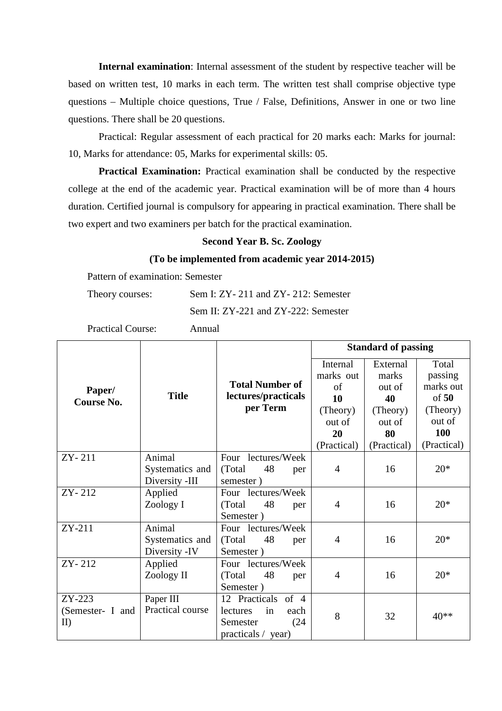**Internal examination**: Internal assessment of the student by respective teacher will be based on written test, 10 marks in each term. The written test shall comprise objective type questions – Multiple choice questions, True / False, Definitions, Answer in one or two line questions. There shall be 20 questions.

Practical: Regular assessment of each practical for 20 marks each: Marks for journal: 10, Marks for attendance: 05, Marks for experimental skills: 05.

**Practical Examination:** Practical examination shall be conducted by the respective college at the end of the academic year. Practical examination will be of more than 4 hours duration. Certified journal is compulsory for appearing in practical examination. There shall be two expert and two examiners per batch for the practical examination.

#### **Second Year B. Sc. Zoology**

#### **(To be implemented from academic year 2014-2015)**

Pattern of examination: Semester

| Theory courses: | Sem I: ZY - 211 and ZY - 212: Semester |
|-----------------|----------------------------------------|
|                 | Sem II: ZY-221 and ZY-222: Semester    |

Practical Course: Annual

|                   |                  |                        |                | <b>Standard of passing</b> |             |
|-------------------|------------------|------------------------|----------------|----------------------------|-------------|
|                   |                  |                        | Internal       | External                   | Total       |
|                   |                  |                        | marks out      | marks                      | passing     |
| Paper/            |                  | <b>Total Number of</b> | of             | out of                     | marks out   |
| <b>Course No.</b> | <b>Title</b>     | lectures/practicals    | 10             | 40                         | of 50       |
|                   |                  | per Term               | (Theory)       | (Theory)                   | (Theory)    |
|                   |                  |                        | out of         | out of                     | out of      |
|                   |                  |                        | 20             | 80                         | 100         |
|                   |                  |                        | (Practical)    | (Practical)                | (Practical) |
| ZY-211            | Animal           | Four lectures/Week     |                |                            |             |
|                   | Systematics and  | (Total)<br>48<br>per   | $\overline{4}$ | 16                         | $20*$       |
|                   | Diversity -III   | semester)              |                |                            |             |
| ZY-212            | Applied          | Four lectures/Week     |                |                            |             |
|                   | Zoology I        | (Total)<br>48<br>per   | $\overline{4}$ | 16                         | $20*$       |
|                   |                  | Semester)              |                |                            |             |
| ZY-211            | Animal           | Four lectures/Week     |                |                            |             |
|                   | Systematics and  | (Total)<br>48<br>per   | $\overline{4}$ | 16                         | $20*$       |
|                   | Diversity -IV    | Semester)              |                |                            |             |
| ZY-212            | Applied          | Four lectures/Week     |                |                            |             |
|                   | Zoology II       | 48<br>(Total)<br>per   | 4              | 16                         | $20*$       |
|                   |                  | Semester)              |                |                            |             |
| ZY-223            | Paper III        | 12 Practicals of 4     |                |                            |             |
| (Semester- I and  | Practical course | in<br>lectures<br>each | 8              | 32                         | 40**        |
| II)               |                  | Semester<br>(24)       |                |                            |             |
|                   |                  | practicals / year)     |                |                            |             |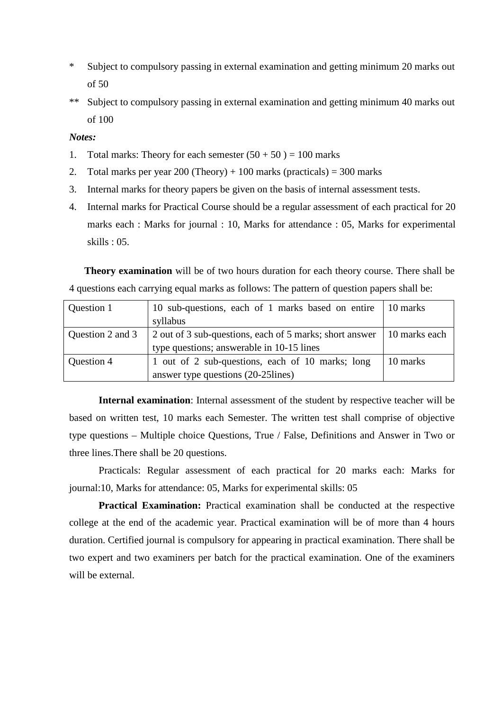- \* Subject to compulsory passing in external examination and getting minimum 20 marks out of 50
- \*\* Subject to compulsory passing in external examination and getting minimum 40 marks out of 100

#### *Notes:*

- 1. Total marks: Theory for each semester  $(50 + 50) = 100$  marks
- 2. Total marks per year  $200$  (Theory) + 100 marks (practicals) = 300 marks
- 3. Internal marks for theory papers be given on the basis of internal assessment tests.
- 4. Internal marks for Practical Course should be a regular assessment of each practical for 20 marks each : Marks for journal : 10, Marks for attendance : 05, Marks for experimental skills : 05.

**Theory examination** will be of two hours duration for each theory course. There shall be 4 questions each carrying equal marks as follows: The pattern of question papers shall be:

| Question 1       | 10 sub-questions, each of 1 marks based on entire 10 marks<br>syllabus   |          |
|------------------|--------------------------------------------------------------------------|----------|
| Question 2 and 3 | 10 marks each<br>2 out of 3 sub-questions, each of 5 marks; short answer |          |
|                  | type questions; answerable in 10-15 lines                                |          |
| Question 4       | 1 out of 2 sub-questions, each of 10 marks; long                         | 10 marks |
|                  | answer type questions (20-25lines)                                       |          |

**Internal examination**: Internal assessment of the student by respective teacher will be based on written test, 10 marks each Semester. The written test shall comprise of objective type questions – Multiple choice Questions, True / False, Definitions and Answer in Two or three lines.There shall be 20 questions.

Practicals: Regular assessment of each practical for 20 marks each: Marks for journal:10, Marks for attendance: 05, Marks for experimental skills: 05

**Practical Examination:** Practical examination shall be conducted at the respective college at the end of the academic year. Practical examination will be of more than 4 hours duration. Certified journal is compulsory for appearing in practical examination. There shall be two expert and two examiners per batch for the practical examination. One of the examiners will be external.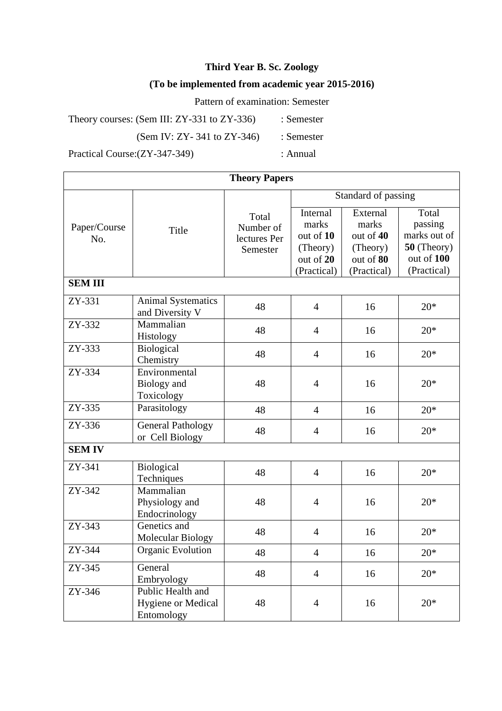# **Third Year B. Sc. Zoology**

# **(To be implemented from academic year 2015-2016)**

Pattern of examination: Semester

Theory courses: (Sem III: ZY-331 to ZY-336) : Semester

(Sem IV: ZY-341 to ZY-346)  $\therefore$  Semester

Practical Course:(ZY-347-349) : Annual

| <b>Theory Papers</b> |                                                              |                                                |                                                                        |                                                                        |                                                                              |
|----------------------|--------------------------------------------------------------|------------------------------------------------|------------------------------------------------------------------------|------------------------------------------------------------------------|------------------------------------------------------------------------------|
|                      |                                                              |                                                |                                                                        | Standard of passing                                                    |                                                                              |
| Paper/Course<br>No.  | Title                                                        | Total<br>Number of<br>lectures Per<br>Semester | Internal<br>marks<br>out of 10<br>(Theory)<br>out of 20<br>(Practical) | External<br>marks<br>out of 40<br>(Theory)<br>out of 80<br>(Practical) | Total<br>passing<br>marks out of<br>50 (Theory)<br>out of 100<br>(Practical) |
| <b>SEMIII</b>        |                                                              |                                                |                                                                        |                                                                        |                                                                              |
| ZY-331               | <b>Animal Systematics</b><br>and Diversity V                 | 48                                             | $\overline{4}$                                                         | 16                                                                     | $20*$                                                                        |
| ZY-332               | Mammalian<br>Histology                                       | 48                                             | $\overline{4}$                                                         | 16                                                                     | $20*$                                                                        |
| $ZY-333$             | <b>Biological</b><br>Chemistry                               | 48                                             | $\overline{4}$                                                         | 16                                                                     | $20*$                                                                        |
| ZY-334               | Environmental<br>Biology and<br>Toxicology                   | 48                                             | $\overline{4}$                                                         | 16                                                                     | $20*$                                                                        |
| ZY-335               | Parasitology                                                 | 48                                             | $\overline{4}$                                                         | 16                                                                     | $20*$                                                                        |
| ZY-336               | <b>General Pathology</b><br>or Cell Biology                  | 48                                             | $\overline{4}$                                                         | 16                                                                     | $20*$                                                                        |
| <b>SEM IV</b>        |                                                              |                                                |                                                                        |                                                                        |                                                                              |
| ZY-341               | <b>Biological</b><br>Techniques                              | 48                                             | $\overline{4}$                                                         | 16                                                                     | $20*$                                                                        |
| ZY-342               | Mammalian<br>Physiology and<br>Endocrinology                 | 48                                             | $\overline{4}$                                                         | 16                                                                     | $20*$                                                                        |
| $ZY-343$             | Genetics and<br><b>Molecular Biology</b>                     | 48                                             | $\overline{4}$                                                         | 16                                                                     | $20*$                                                                        |
| ZY-344               | Organic Evolution                                            | 48                                             | $\overline{4}$                                                         | 16                                                                     | $20*$                                                                        |
| ZY-345               | General<br>Embryology                                        | 48                                             | $\overline{4}$                                                         | 16                                                                     | $20*$                                                                        |
| ZY-346               | Public Health and<br><b>Hygiene or Medical</b><br>Entomology | 48                                             | $\overline{4}$                                                         | 16                                                                     | $20*$                                                                        |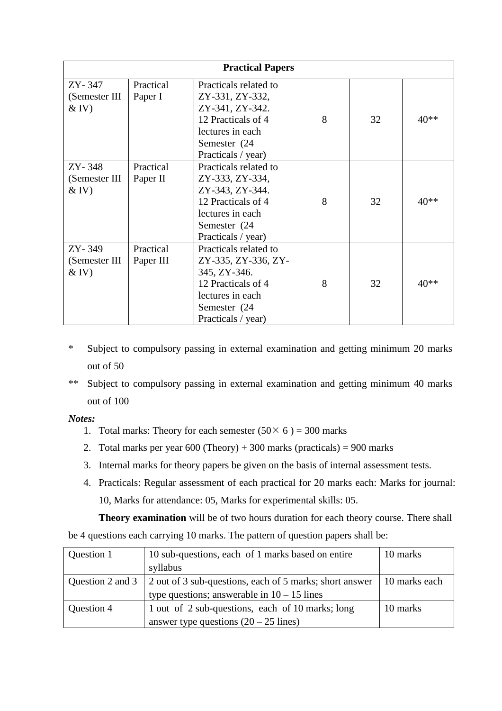| <b>Practical Papers</b>             |                        |                                                                                                                                              |   |    |        |
|-------------------------------------|------------------------|----------------------------------------------------------------------------------------------------------------------------------------------|---|----|--------|
| ZY-347<br>(Semester III<br>$&$ IV)  | Practical<br>Paper I   | Practicals related to<br>ZY-331, ZY-332,<br>ZY-341, ZY-342.<br>12 Practicals of 4<br>lectures in each<br>Semester (24<br>Practicals / year)  | 8 | 32 | 40**   |
| ZY-348<br>(Semester III<br>$&$ IV)  | Practical<br>Paper II  | Practicals related to<br>ZY-333, ZY-334,<br>ZY-343, ZY-344.<br>12 Practicals of 4<br>lectures in each<br>Semester (24<br>Practicals / year)  | 8 | 32 | $40**$ |
| ZY-349<br>(Semester III)<br>$&$ IV) | Practical<br>Paper III | Practicals related to<br>ZY-335, ZY-336, ZY-<br>345, ZY-346.<br>12 Practicals of 4<br>lectures in each<br>Semester (24<br>Practicals / year) | 8 | 32 | $40**$ |

- \* Subject to compulsory passing in external examination and getting minimum 20 marks out of 50
- \*\* Subject to compulsory passing in external examination and getting minimum 40 marks out of 100

*Notes:* 

- 1. Total marks: Theory for each semester  $(50 \times 6) = 300$  marks
- 2. Total marks per year  $600$  (Theory) + 300 marks (practicals) = 900 marks
- 3. Internal marks for theory papers be given on the basis of internal assessment tests.
- 4. Practicals: Regular assessment of each practical for 20 marks each: Marks for journal: 10, Marks for attendance: 05, Marks for experimental skills: 05.

**Theory examination** will be of two hours duration for each theory course. There shall

be 4 questions each carrying 10 marks. The pattern of question papers shall be:

| Question 1       | 10 sub-questions, each of 1 marks based on entire       | 10 marks      |
|------------------|---------------------------------------------------------|---------------|
|                  | syllabus                                                |               |
| Question 2 and 3 | 2 out of 3 sub-questions, each of 5 marks; short answer | 10 marks each |
|                  | type questions; answerable in $10 - 15$ lines           |               |
| Question 4       | 1 out of 2 sub-questions, each of 10 marks; long        | 10 marks      |
|                  | answer type questions $(20 – 25$ lines)                 |               |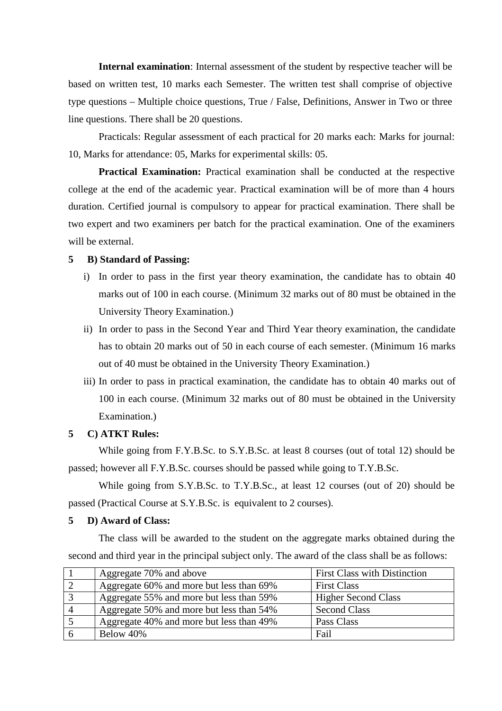**Internal examination**: Internal assessment of the student by respective teacher will be based on written test, 10 marks each Semester. The written test shall comprise of objective type questions – Multiple choice questions, True / False, Definitions, Answer in Two or three line questions. There shall be 20 questions.

Practicals: Regular assessment of each practical for 20 marks each: Marks for journal: 10, Marks for attendance: 05, Marks for experimental skills: 05.

**Practical Examination:** Practical examination shall be conducted at the respective college at the end of the academic year. Practical examination will be of more than 4 hours duration. Certified journal is compulsory to appear for practical examination. There shall be two expert and two examiners per batch for the practical examination. One of the examiners will be external.

### **5 B) Standard of Passing:**

- i) In order to pass in the first year theory examination, the candidate has to obtain 40 marks out of 100 in each course. (Minimum 32 marks out of 80 must be obtained in the University Theory Examination.)
- ii) In order to pass in the Second Year and Third Year theory examination, the candidate has to obtain 20 marks out of 50 in each course of each semester. (Minimum 16 marks out of 40 must be obtained in the University Theory Examination.)
- iii) In order to pass in practical examination, the candidate has to obtain 40 marks out of 100 in each course. (Minimum 32 marks out of 80 must be obtained in the University Examination.)

### **5 C) ATKT Rules:**

While going from F.Y.B.Sc. to S.Y.B.Sc. at least 8 courses (out of total 12) should be passed; however all F.Y.B.Sc. courses should be passed while going to T.Y.B.Sc.

While going from S.Y.B.Sc. to T.Y.B.Sc., at least 12 courses (out of 20) should be passed (Practical Course at S.Y.B.Sc. is equivalent to 2 courses).

#### **5 D) Award of Class:**

The class will be awarded to the student on the aggregate marks obtained during the second and third year in the principal subject only. The award of the class shall be as follows:

|                | Aggregate 70% and above                  | <b>First Class with Distinction</b> |
|----------------|------------------------------------------|-------------------------------------|
|                | Aggregate 60% and more but less than 69% | <b>First Class</b>                  |
|                | Aggregate 55% and more but less than 59% | <b>Higher Second Class</b>          |
| $\overline{A}$ | Aggregate 50% and more but less than 54% | <b>Second Class</b>                 |
|                | Aggregate 40% and more but less than 49% | Pass Class                          |
|                | Below 40%                                | Fail                                |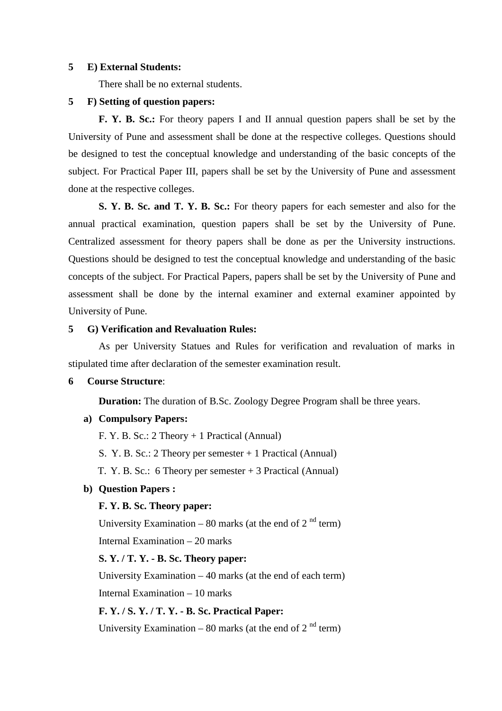#### **5 E) External Students:**

There shall be no external students.

#### **5 F) Setting of question papers:**

**F. Y. B. Sc.:** For theory papers I and II annual question papers shall be set by the University of Pune and assessment shall be done at the respective colleges. Questions should be designed to test the conceptual knowledge and understanding of the basic concepts of the subject. For Practical Paper III, papers shall be set by the University of Pune and assessment done at the respective colleges.

**S. Y. B. Sc. and T. Y. B. Sc.:** For theory papers for each semester and also for the annual practical examination, question papers shall be set by the University of Pune. Centralized assessment for theory papers shall be done as per the University instructions. Questions should be designed to test the conceptual knowledge and understanding of the basic concepts of the subject. For Practical Papers, papers shall be set by the University of Pune and assessment shall be done by the internal examiner and external examiner appointed by University of Pune.

### **5 G) Verification and Revaluation Rules:**

As per University Statues and Rules for verification and revaluation of marks in stipulated time after declaration of the semester examination result.

#### **6 Course Structure**:

**Duration:** The duration of B.Sc. Zoology Degree Program shall be three years.

#### **a) Compulsory Papers:**

F. Y. B. Sc.: 2 Theory + 1 Practical (Annual)

S. Y. B. Sc.: 2 Theory per semester + 1 Practical (Annual)

T. Y. B. Sc.: 6 Theory per semester + 3 Practical (Annual)

#### **b) Question Papers :**

#### **F. Y. B. Sc. Theory paper:**

University Examination – 80 marks (at the end of  $2<sup>nd</sup>$  term) Internal Examination – 20 marks

### **S. Y. / T. Y. - B. Sc. Theory paper:**

University Examination – 40 marks (at the end of each term) Internal Examination – 10 marks

# **F. Y. / S. Y. / T. Y. - B. Sc. Practical Paper:**

University Examination – 80 marks (at the end of  $2<sup>nd</sup>$  term)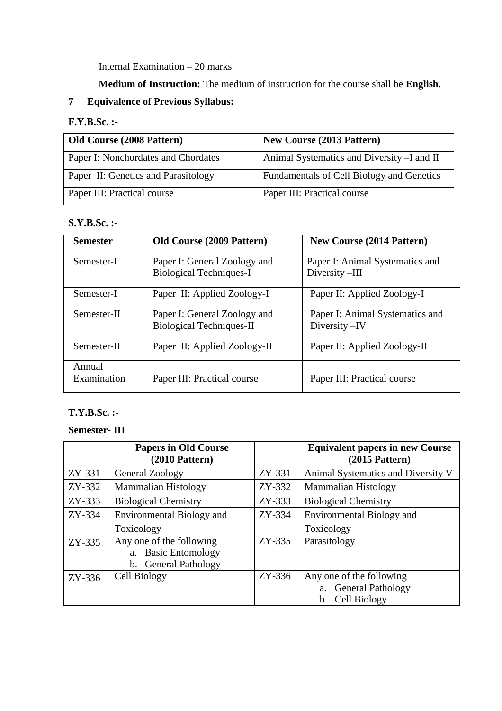Internal Examination – 20 marks

**Medium of Instruction:** The medium of instruction for the course shall be **English.** 

# **7 Equivalence of Previous Syllabus:**

# **F.Y.B.Sc. :-**

| <b>Old Course (2008 Pattern)</b>    | <b>New Course (2013 Pattern)</b>            |
|-------------------------------------|---------------------------------------------|
| Paper I: Nonchordates and Chordates | Animal Systematics and Diversity - I and II |
| Paper II: Genetics and Parasitology | Fundamentals of Cell Biology and Genetics   |
| Paper III: Practical course         | Paper III: Practical course                 |

## **S.Y.B.Sc. :-**

| <b>Semester</b>       | <b>Old Course (2009 Pattern)</b>                                | <b>New Course (2014 Pattern)</b>                  |
|-----------------------|-----------------------------------------------------------------|---------------------------------------------------|
| Semester-I            | Paper I: General Zoology and<br><b>Biological Techniques-I</b>  | Paper I: Animal Systematics and<br>Diversity-III  |
| Semester-I            | Paper II: Applied Zoology-I                                     | Paper II: Applied Zoology-I                       |
| Semester-II           | Paper I: General Zoology and<br><b>Biological Techniques-II</b> | Paper I: Animal Systematics and<br>Diversity - IV |
| Semester-II           | Paper II: Applied Zoology-II                                    | Paper II: Applied Zoology-II                      |
| Annual<br>Examination | Paper III: Practical course                                     | Paper III: Practical course                       |

## **T.Y.B.Sc. :-**

# **Semester- III**

|          | <b>Papers in Old Course</b><br>$(2010$ Pattern $)$                      |          | <b>Equivalent papers in new Course</b><br>$(2015$ Pattern)                 |
|----------|-------------------------------------------------------------------------|----------|----------------------------------------------------------------------------|
| ZY-331   | General Zoology                                                         | ZY-331   | Animal Systematics and Diversity V                                         |
| ZY-332   | <b>Mammalian Histology</b>                                              | ZY-332   | <b>Mammalian Histology</b>                                                 |
| ZY-333   | <b>Biological Chemistry</b>                                             | ZY-333   | <b>Biological Chemistry</b>                                                |
| ZY-334   | Environmental Biology and                                               | ZY-334   | Environmental Biology and                                                  |
|          | Toxicology                                                              |          | Toxicology                                                                 |
| $ZY-335$ | Any one of the following<br>a. Basic Entomology<br>b. General Pathology | $ZY-335$ | Parasitology                                                               |
| $ZY-336$ | Cell Biology                                                            | $ZY-336$ | Any one of the following<br><b>General Pathology</b><br>Cell Biology<br>b. |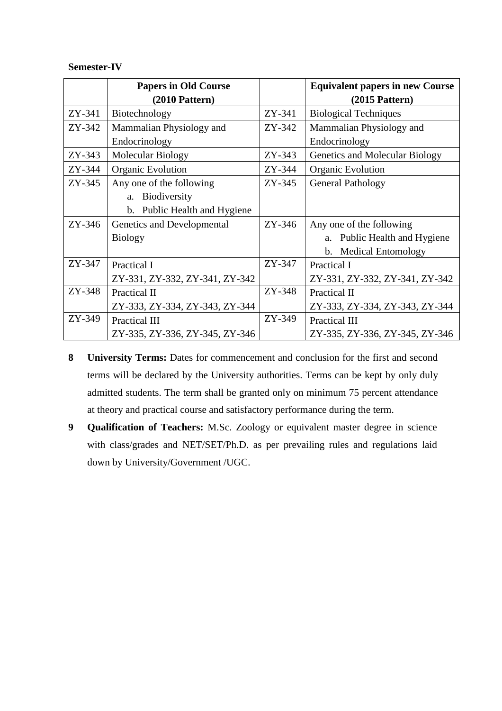### **Semester-IV**

|          | <b>Papers in Old Course</b>    |          | <b>Equivalent papers in new Course</b> |
|----------|--------------------------------|----------|----------------------------------------|
|          | $(2010$ Pattern $)$            |          | $(2015$ Pattern $)$                    |
| ZY-341   | Biotechnology                  | ZY-341   | <b>Biological Techniques</b>           |
| ZY-342   | Mammalian Physiology and       | ZY-342   | Mammalian Physiology and               |
|          | Endocrinology                  |          | Endocrinology                          |
| ZY-343   | Molecular Biology              | ZY-343   | Genetics and Molecular Biology         |
| ZY-344   | Organic Evolution              | ZY-344   | Organic Evolution                      |
| ZY-345   | Any one of the following       | $ZY-345$ | <b>General Pathology</b>               |
|          | a. Biodiversity                |          |                                        |
|          | b. Public Health and Hygiene   |          |                                        |
| $ZY-346$ | Genetics and Developmental     | $ZY-346$ | Any one of the following               |
|          | <b>Biology</b>                 |          | a. Public Health and Hygiene           |
|          |                                |          | b. Medical Entomology                  |
| ZY-347   | Practical I                    | $ZY-347$ | Practical I                            |
|          | ZY-331, ZY-332, ZY-341, ZY-342 |          | ZY-331, ZY-332, ZY-341, ZY-342         |
| ZY-348   | Practical II                   | ZY-348   | Practical II                           |
|          | ZY-333, ZY-334, ZY-343, ZY-344 |          | ZY-333, ZY-334, ZY-343, ZY-344         |
| ZY-349   | Practical III                  | ZY-349   | Practical III                          |
|          | ZY-335, ZY-336, ZY-345, ZY-346 |          | ZY-335, ZY-336, ZY-345, ZY-346         |

- **8 University Terms:** Dates for commencement and conclusion for the first and second terms will be declared by the University authorities. Terms can be kept by only duly admitted students. The term shall be granted only on minimum 75 percent attendance at theory and practical course and satisfactory performance during the term.
- **9 Qualification of Teachers:** M.Sc. Zoology or equivalent master degree in science with class/grades and NET/SET/Ph.D. as per prevailing rules and regulations laid down by University/Government /UGC.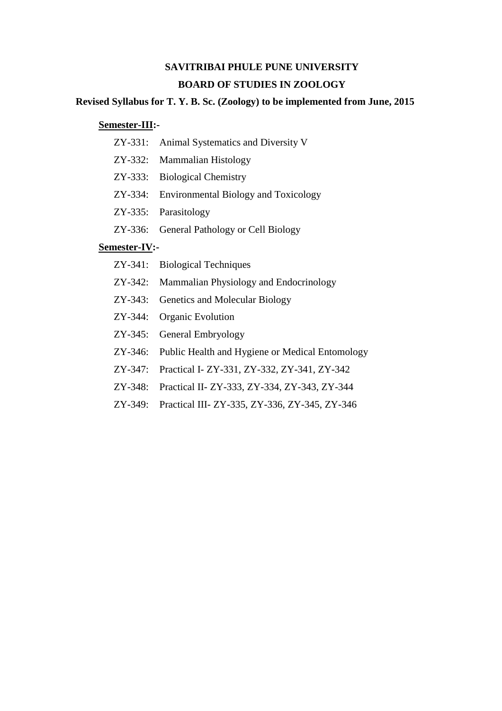# **SAVITRIBAI PHULE PUNE UNIVERSITY BOARD OF STUDIES IN ZOOLOGY**

### **Revised Syllabus for T. Y. B. Sc. (Zoology) to be implemented from June, 2015**

## **Semester-III:-**

- ZY-331: Animal Systematics and Diversity V
- ZY-332: Mammalian Histology
- ZY-333: Biological Chemistry
- ZY-334: Environmental Biology and Toxicology
- ZY-335: Parasitology
- ZY-336: General Pathology or Cell Biology

## **Semester-IV:-**

- ZY-341: Biological Techniques
- ZY-342: Mammalian Physiology and Endocrinology
- ZY-343: Genetics and Molecular Biology
- ZY-344: Organic Evolution
- ZY-345: General Embryology
- ZY-346: Public Health and Hygiene or Medical Entomology
- ZY-347: Practical I- ZY-331, ZY-332, ZY-341, ZY-342
- ZY-348: Practical II- ZY-333, ZY-334, ZY-343, ZY-344
- ZY-349: Practical III- ZY-335, ZY-336, ZY-345, ZY-346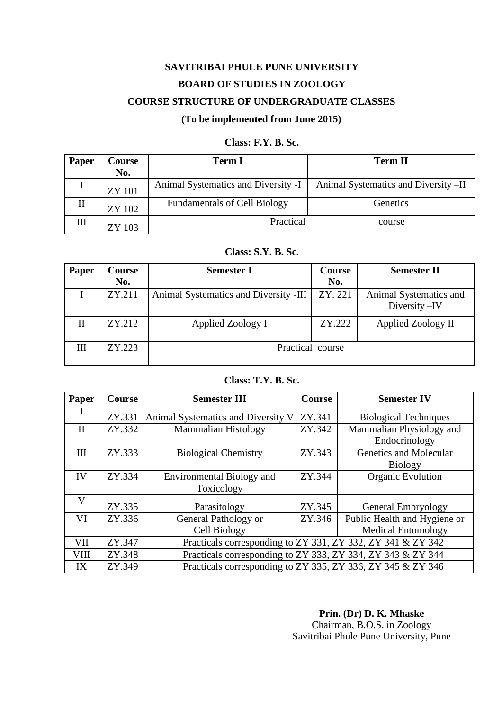# **SAVITRIBAI PHULE PUNE UNIVERSITY BOARD OF STUDIES IN ZOOLOGY COURSE STRUCTURE OF UNDERGRADUATE CLASSES (To be implemented from June 2015)**

#### **Class: F.Y. B. Sc.**

| Paper | Course<br>No. | <b>Term I</b>                       | <b>Term II</b>                       |
|-------|---------------|-------------------------------------|--------------------------------------|
| л.    | <b>ZY 101</b> | Animal Systematics and Diversity -I | Animal Systematics and Diversity -II |
| П     | ZY 102        | <b>Fundamentals of Cell Biology</b> | Genetics                             |
| III   | ZY 103        | Practical                           | course                               |

### **Class: S.Y. B. Sc.**

| Paper | Course<br>No. | <b>Semester I</b>                     | Course<br>No. | <b>Semester II</b>     |
|-------|---------------|---------------------------------------|---------------|------------------------|
|       | ZY.211        | Animal Systematics and Diversity -III | ZY. 221       | Animal Systematics and |
|       |               |                                       |               | Diversity -IV          |
| П     | ZY.212        | Applied Zoology I                     | ZY.222        | Applied Zoology II     |
| Ш     | ZY.223        | Practical course                      |               |                        |

## **Class: T.Y. B. Sc.**

| Paper        | <b>Course</b> | <b>Semester III</b>                                         | Course | <b>Semester IV</b>           |
|--------------|---------------|-------------------------------------------------------------|--------|------------------------------|
|              | ZY.331        | Animal Systematics and Diversity V                          | ZY.341 | <b>Biological Techniques</b> |
| $\mathbf{I}$ | ZY.332        | <b>Mammalian Histology</b>                                  | ZY.342 | Mammalian Physiology and     |
|              |               |                                                             |        | Endocrinology                |
| III          | ZY.333        | <b>Biological Chemistry</b>                                 | ZY.343 | Genetics and Molecular       |
|              |               |                                                             |        | <b>Biology</b>               |
| IV           | ZY.334        | <b>Environmental Biology and</b>                            | ZY.344 | <b>Organic Evolution</b>     |
|              |               | Toxicology                                                  |        |                              |
| V            | ZY.335        | Parasitology                                                | ZY.345 | <b>General Embryology</b>    |
| VI           | ZY.336        | General Pathology or                                        | ZY.346 | Public Health and Hygiene or |
|              |               | Cell Biology                                                |        | <b>Medical Entomology</b>    |
| VII          | ZY.347        | Practicals corresponding to ZY 331, ZY 332, ZY 341 & ZY 342 |        |                              |
| <b>VIII</b>  | ZY.348        | Practicals corresponding to ZY 333, ZY 334, ZY 343 & ZY 344 |        |                              |
| IX           | ZY.349        | Practicals corresponding to ZY 335, ZY 336, ZY 345 & ZY 346 |        |                              |

**Prin. (Dr) D. K. Mhaske** Chairman, B.O.S. in Zoology Savitribai Phule Pune University, Pune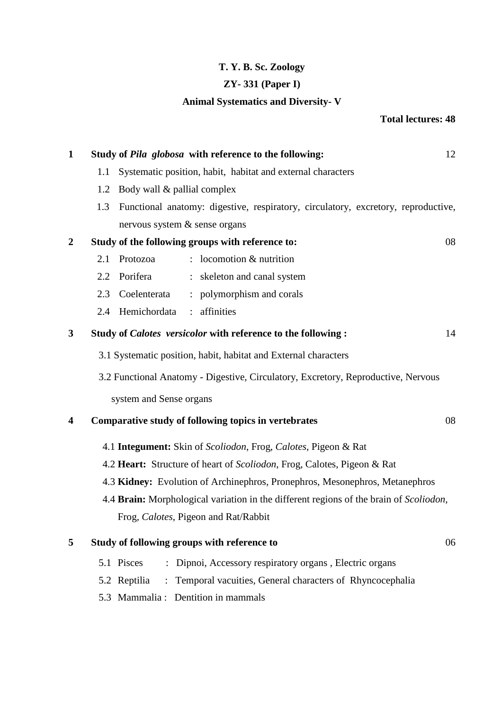# **T. Y. B. Sc. Zoology**

# **ZY- 331 (Paper I)**

# **Animal Systematics and Diversity- V**

# **Total lectures: 48**

| $\mathbf{1}$            |     |                                 | Study of Pila globosa with reference to the following:                                 | 12 |
|-------------------------|-----|---------------------------------|----------------------------------------------------------------------------------------|----|
|                         | 1.1 |                                 | Systematic position, habit, habitat and external characters                            |    |
|                         |     | 1.2 Body wall & pallial complex |                                                                                        |    |
|                         | 1.3 |                                 | Functional anatomy: digestive, respiratory, circulatory, excretory, reproductive,      |    |
|                         |     | nervous system & sense organs   |                                                                                        |    |
| $\overline{2}$          |     |                                 | Study of the following groups with reference to:                                       | 08 |
|                         | 2.1 | Protozoa                        | $:$ locomotion $&$ nutrition                                                           |    |
|                         | 2.2 | Porifera                        | : skeleton and canal system                                                            |    |
|                         | 2.3 | Coelenterata                    | : polymorphism and corals                                                              |    |
|                         | 2.4 | Hemichordata                    | : affinities                                                                           |    |
| 3                       |     |                                 | Study of Calotes versicolor with reference to the following:                           | 14 |
|                         |     |                                 | 3.1 Systematic position, habit, habitat and External characters                        |    |
|                         |     |                                 | 3.2 Functional Anatomy - Digestive, Circulatory, Excretory, Reproductive, Nervous      |    |
|                         |     | system and Sense organs         |                                                                                        |    |
| $\overline{\mathbf{4}}$ |     |                                 | Comparative study of following topics in vertebrates                                   | 08 |
|                         |     |                                 | 4.1 Integument: Skin of Scoliodon, Frog, Calotes, Pigeon & Rat                         |    |
|                         |     |                                 | 4.2 Heart: Structure of heart of Scoliodon, Frog, Calotes, Pigeon & Rat                |    |
|                         |     |                                 | 4.3 Kidney: Evolution of Archinephros, Pronephros, Mesonephros, Metanephros            |    |
|                         |     |                                 | 4.4 Brain: Morphological variation in the different regions of the brain of Scoliodon, |    |
|                         |     |                                 | Frog, Calotes, Pigeon and Rat/Rabbit                                                   |    |
| 5                       |     |                                 | Study of following groups with reference to                                            | 06 |
|                         |     | 5.1 Pisces                      | : Dipnoi, Accessory respiratory organs, Electric organs                                |    |
|                         |     | 5.2 Reptilia                    | : Temporal vacuities, General characters of Rhyncocephalia                             |    |

5.3 Mammalia : Dentition in mammals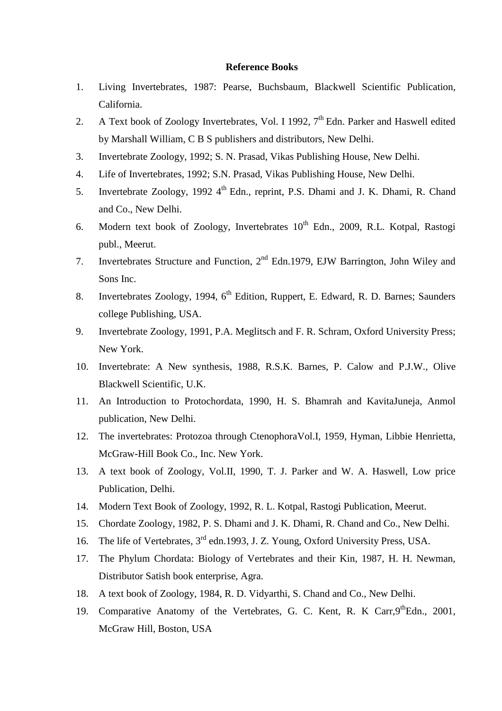- 1. Living Invertebrates, 1987: Pearse, Buchsbaum, Blackwell Scientific Publication, California.
- 2. A Text book of Zoology Invertebrates, Vol. I 1992,  $7<sup>th</sup>$  Edn. Parker and Haswell edited by Marshall William, C B S publishers and distributors, New Delhi.
- 3. Invertebrate Zoology, 1992; S. N. Prasad, Vikas Publishing House, New Delhi.
- 4. Life of Invertebrates, 1992; S.N. Prasad, Vikas Publishing House, New Delhi.
- 5. Invertebrate Zoology, 1992 4<sup>th</sup> Edn., reprint, P.S. Dhami and J. K. Dhami, R. Chand and Co., New Delhi.
- 6. Modern text book of Zoology, Invertebrates  $10^{th}$  Edn., 2009, R.L. Kotpal, Rastogi publ., Meerut.
- 7. Invertebrates Structure and Function, 2nd Edn.1979, EJW Barrington, John Wiley and Sons Inc.
- 8. Invertebrates Zoology, 1994, 6<sup>th</sup> Edition, Ruppert, E. Edward, R. D. Barnes; Saunders college Publishing, USA.
- 9. Invertebrate Zoology, 1991, P.A. Meglitsch and F. R. Schram, Oxford University Press; New York.
- 10. Invertebrate: A New synthesis, 1988, R.S.K. Barnes, P. Calow and P.J.W., Olive Blackwell Scientific, U.K.
- 11. An Introduction to Protochordata, 1990, H. S. Bhamrah and KavitaJuneja, Anmol publication, New Delhi.
- 12. The invertebrates: Protozoa through CtenophoraVol.I, 1959, Hyman, Libbie Henrietta, McGraw-Hill Book Co., Inc. New York.
- 13. A text book of Zoology, Vol.II, 1990, T. J. Parker and W. A. Haswell, Low price Publication, Delhi.
- 14. Modern Text Book of Zoology, 1992, R. L. Kotpal, Rastogi Publication, Meerut.
- 15. Chordate Zoology, 1982, P. S. Dhami and J. K. Dhami, R. Chand and Co., New Delhi.
- 16. The life of Vertebrates, 3<sup>rd</sup> edn.1993, J. Z. Young, Oxford University Press, USA.
- 17. The Phylum Chordata: Biology of Vertebrates and their Kin, 1987, H. H. Newman, Distributor Satish book enterprise, Agra.
- 18. A text book of Zoology, 1984, R. D. Vidyarthi, S. Chand and Co., New Delhi.
- 19. Comparative Anatomy of the Vertebrates, G. C. Kent, R. K Carr, 9<sup>th</sup>Edn., 2001, McGraw Hill, Boston, USA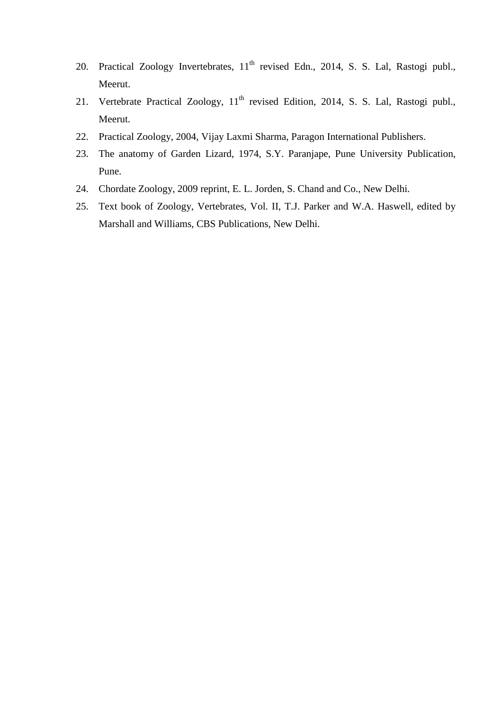- 20. Practical Zoology Invertebrates, 11<sup>th</sup> revised Edn., 2014, S. S. Lal, Rastogi publ., Meerut.
- 21. Vertebrate Practical Zoology, 11<sup>th</sup> revised Edition, 2014, S. S. Lal, Rastogi publ., Meerut.
- 22. Practical Zoology, 2004, Vijay Laxmi Sharma, Paragon International Publishers.
- 23. The anatomy of Garden Lizard, 1974, S.Y. Paranjape, Pune University Publication, Pune.
- 24. Chordate Zoology, 2009 reprint, E. L. Jorden, S. Chand and Co., New Delhi.
- 25. Text book of Zoology, Vertebrates, Vol. II, T.J. Parker and W.A. Haswell, edited by Marshall and Williams, CBS Publications, New Delhi.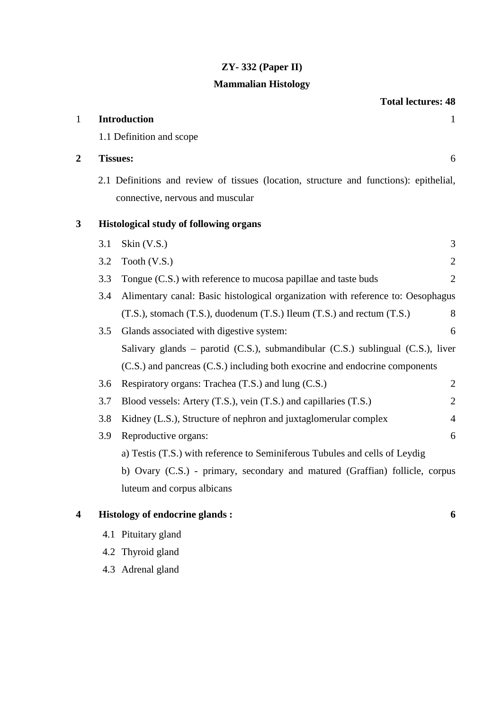# **ZY- 332 (Paper II)**

# **Mammalian Histology**

**Total lectures: 48**

| $\mathbf{1}$                      |     | <b>Introduction</b>                                                                                                        | $\mathbf{1}$   |
|-----------------------------------|-----|----------------------------------------------------------------------------------------------------------------------------|----------------|
|                                   |     | 1.1 Definition and scope                                                                                                   |                |
| $\overline{2}$<br><b>Tissues:</b> |     |                                                                                                                            | 6              |
|                                   |     | 2.1 Definitions and review of tissues (location, structure and functions): epithelial,<br>connective, nervous and muscular |                |
| 3                                 |     | <b>Histological study of following organs</b>                                                                              |                |
|                                   | 3.1 | Skin (V.S.)                                                                                                                | 3              |
|                                   | 3.2 | Tooth (V.S.)                                                                                                               | $\overline{2}$ |
|                                   | 3.3 | Tongue (C.S.) with reference to mucosa papillae and taste buds                                                             | $\overline{2}$ |
|                                   | 3.4 | Alimentary canal: Basic histological organization with reference to: Oesophagus                                            |                |
|                                   |     | $(T.S.)$ , stomach $(T.S.)$ , duodenum $(T.S.)$ Ileum $(T.S.)$ and rectum $(T.S.)$                                         | 8              |
|                                   | 3.5 | Glands associated with digestive system:                                                                                   | 6              |
|                                   |     | Salivary glands - parotid (C.S.), submandibular (C.S.) sublingual (C.S.), liver                                            |                |
|                                   |     | (C.S.) and pancreas (C.S.) including both exocrine and endocrine components                                                |                |
|                                   | 3.6 | Respiratory organs: Trachea (T.S.) and lung (C.S.)                                                                         | $\overline{2}$ |
|                                   | 3.7 | Blood vessels: Artery (T.S.), vein (T.S.) and capillaries (T.S.)                                                           | $\overline{2}$ |
|                                   | 3.8 | Kidney (L.S.), Structure of nephron and juxtaglomerular complex                                                            | $\overline{4}$ |
|                                   | 3.9 | Reproductive organs:                                                                                                       | 6              |
|                                   |     | a) Testis (T.S.) with reference to Seminiferous Tubules and cells of Leydig                                                |                |
|                                   |     | b) Ovary (C.S.) - primary, secondary and matured (Graffian) follicle, corpus                                               |                |
|                                   |     | luteum and corpus albicans                                                                                                 |                |
| 4                                 |     | <b>Histology of endocrine glands:</b>                                                                                      | 6              |
|                                   |     | 4.1 Pituitary gland                                                                                                        |                |

- 4.2 Thyroid gland
- 4.3 Adrenal gland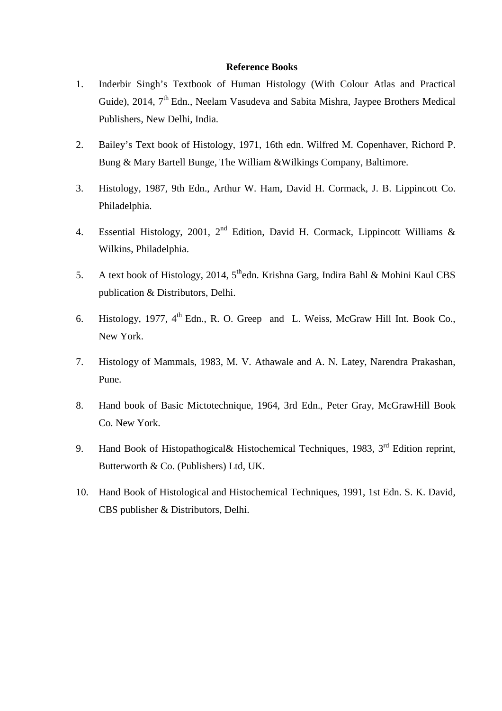- 1. Inderbir Singh's Textbook of Human Histology (With Colour Atlas and Practical Guide), 2014, 7<sup>th</sup> Edn., Neelam Vasudeva and Sabita Mishra, Jaypee Brothers Medical Publishers, New Delhi, India.
- 2. Bailey's Text book of Histology, 1971, 16th edn. Wilfred M. Copenhaver, Richord P. Bung & Mary Bartell Bunge, The William &Wilkings Company, Baltimore.
- 3. Histology, 1987, 9th Edn., Arthur W. Ham, David H. Cormack, J. B. Lippincott Co. Philadelphia.
- 4. Essential Histology, 2001,  $2^{nd}$  Edition, David H. Cormack, Lippincott Williams & Wilkins, Philadelphia.
- 5. A text book of Histology, 2014,  $5<sup>th</sup>$ edn. Krishna Garg, Indira Bahl & Mohini Kaul CBS publication & Distributors, Delhi.
- 6. Histology, 1977,  $4<sup>th</sup>$  Edn., R. O. Greep and L. Weiss, McGraw Hill Int. Book Co., New York.
- 7. Histology of Mammals, 1983, M. V. Athawale and A. N. Latey, Narendra Prakashan, Pune.
- 8. Hand book of Basic Mictotechnique, 1964, 3rd Edn., Peter Gray, McGrawHill Book Co. New York.
- 9. Hand Book of Histopathogical & Histochemical Techniques, 1983, 3<sup>rd</sup> Edition reprint, Butterworth & Co. (Publishers) Ltd, UK.
- 10. Hand Book of Histological and Histochemical Techniques, 1991, 1st Edn. S. K. David, CBS publisher & Distributors, Delhi.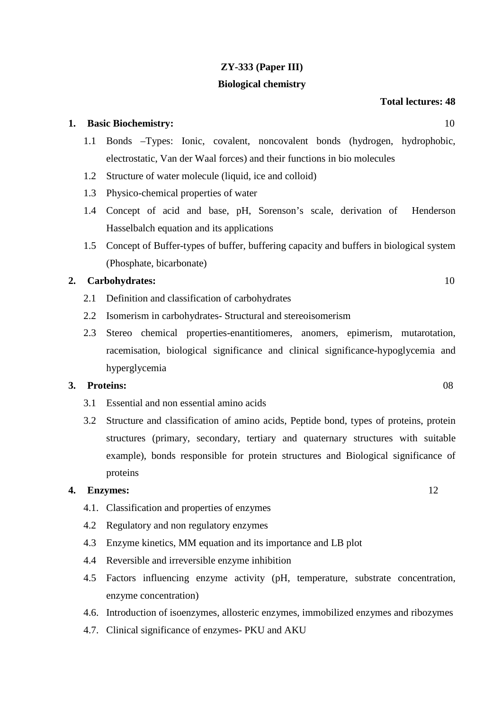# **ZY-333 (Paper III)**

### **Biological chemistry**

#### **Total lectures: 48**

#### **1. Basic Biochemistry:** 10

- 1.1 Bonds –Types: Ionic, covalent, noncovalent bonds (hydrogen, hydrophobic, electrostatic, Van der Waal forces) and their functions in bio molecules
- 1.2 Structure of water molecule (liquid, ice and colloid)
- 1.3 Physico-chemical properties of water
- 1.4 Concept of acid and base, pH, Sorenson's scale, derivation of Henderson Hasselbalch equation and its applications
- 1.5 Concept of Buffer-types of buffer, buffering capacity and buffers in biological system (Phosphate, bicarbonate)

#### **2. Carbohydrates:** 10

- 2.1 Definition and classification of carbohydrates
- 2.2 Isomerism in carbohydrates- Structural and stereoisomerism
- 2.3 Stereo chemical properties-enantitiomeres, anomers, epimerism, mutarotation, racemisation, biological significance and clinical significance-hypoglycemia and hyperglycemia

#### **3. Proteins:** 08

- 3.1 Essential and non essential amino acids
- 3.2 Structure and classification of amino acids, Peptide bond, types of proteins, protein structures (primary, secondary, tertiary and quaternary structures with suitable example), bonds responsible for protein structures and Biological significance of proteins

#### **4. Enzymes:** 12

- 4.1. Classification and properties of enzymes
- 4.2 Regulatory and non regulatory enzymes
- 4.3 Enzyme kinetics, MM equation and its importance and LB plot
- 4.4 Reversible and irreversible enzyme inhibition
- 4.5 Factors influencing enzyme activity (pH, temperature, substrate concentration, enzyme concentration)
- 4.6. Introduction of isoenzymes, allosteric enzymes, immobilized enzymes and ribozymes
- 4.7. Clinical significance of enzymes- PKU and AKU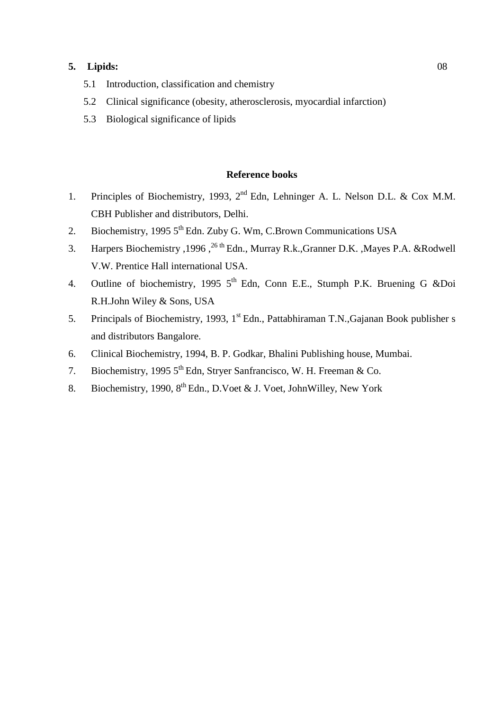## **5. Lipids:** 08

- 5.1 Introduction, classification and chemistry
- 5.2 Clinical significance (obesity, atherosclerosis, myocardial infarction)
- 5.3 Biological significance of lipids

- 1. Principles of Biochemistry, 1993, 2<sup>nd</sup> Edn, Lehninger A. L. Nelson D.L. & Cox M.M. CBH Publisher and distributors, Delhi.
- 2. Biochemistry, 1995  $5<sup>th</sup>$  Edn. Zuby G. Wm, C. Brown Communications USA
- 3. Harpers Biochemistry ,1996,<sup>26 th</sup> Edn., Murray R.k., Granner D.K., Mayes P.A. &Rodwell V.W. Prentice Hall international USA.
- 4. Outline of biochemistry, 1995 5<sup>th</sup> Edn, Conn E.E., Stumph P.K. Bruening G &Doi R.H.John Wiley & Sons, USA
- 5. Principals of Biochemistry, 1993, 1<sup>st</sup> Edn., Pattabhiraman T.N., Gajanan Book publisher s and distributors Bangalore.
- 6. Clinical Biochemistry, 1994, B. P. Godkar, Bhalini Publishing house, Mumbai.
- 7. Biochemistry, 1995 5<sup>th</sup> Edn, Strver Sanfrancisco, W. H. Freeman & Co.
- 8. Biochemistry, 1990, 8<sup>th</sup> Edn., D. Voet & J. Voet, John Willey, New York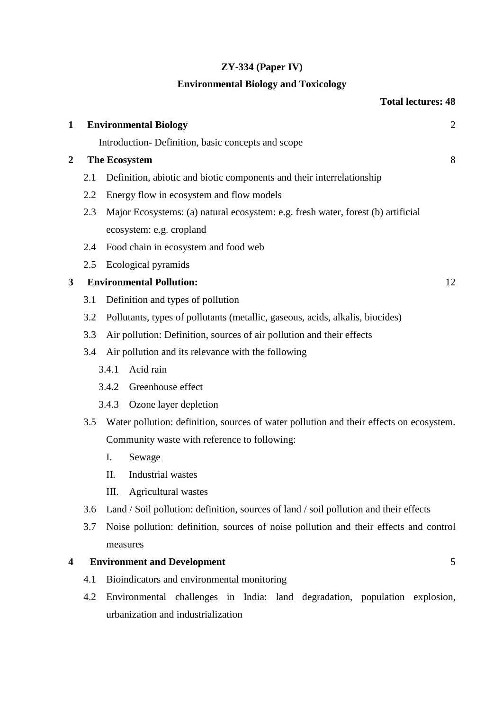# **ZY-334 (Paper IV)**

# **Environmental Biology and Toxicology**

# **Total lectures: 48**

| $\mathbf{1}$     |     | <b>Environmental Biology</b>                                                            | $\overline{c}$ |
|------------------|-----|-----------------------------------------------------------------------------------------|----------------|
|                  |     | Introduction-Definition, basic concepts and scope                                       |                |
| $\boldsymbol{2}$ |     | <b>The Ecosystem</b>                                                                    | 8              |
|                  | 2.1 | Definition, abiotic and biotic components and their interrelationship                   |                |
|                  | 2.2 | Energy flow in ecosystem and flow models                                                |                |
|                  | 2.3 | Major Ecosystems: (a) natural ecosystem: e.g. fresh water, forest (b) artificial        |                |
|                  |     | ecosystem: e.g. cropland                                                                |                |
|                  | 2.4 | Food chain in ecosystem and food web                                                    |                |
|                  | 2.5 | Ecological pyramids                                                                     |                |
| 3                |     | <b>Environmental Pollution:</b>                                                         | 12             |
|                  | 3.1 | Definition and types of pollution                                                       |                |
|                  | 3.2 | Pollutants, types of pollutants (metallic, gaseous, acids, alkalis, biocides)           |                |
|                  | 3.3 | Air pollution: Definition, sources of air pollution and their effects                   |                |
|                  | 3.4 | Air pollution and its relevance with the following                                      |                |
|                  |     | Acid rain<br>3.4.1                                                                      |                |
|                  |     | Greenhouse effect<br>3.4.2                                                              |                |
|                  |     | Ozone layer depletion<br>3.4.3                                                          |                |
|                  | 3.5 | Water pollution: definition, sources of water pollution and their effects on ecosystem. |                |
|                  |     | Community waste with reference to following:                                            |                |
|                  |     | Ι.<br>Sewage                                                                            |                |
|                  |     | Π.<br>Industrial wastes                                                                 |                |
|                  |     | III.<br><b>Agricultural</b> wastes                                                      |                |
|                  | 3.6 | Land / Soil pollution: definition, sources of land / soil pollution and their effects   |                |
|                  | 3.7 | Noise pollution: definition, sources of noise pollution and their effects and control   |                |
|                  |     | measures                                                                                |                |
| 4                |     | <b>Environment and Development</b>                                                      | 5              |
|                  | 4.1 | Bioindicators and environmental monitoring                                              |                |
|                  | 4.2 | Environmental challenges in India: land degradation, population explosion,              |                |
|                  |     | urbanization and industrialization                                                      |                |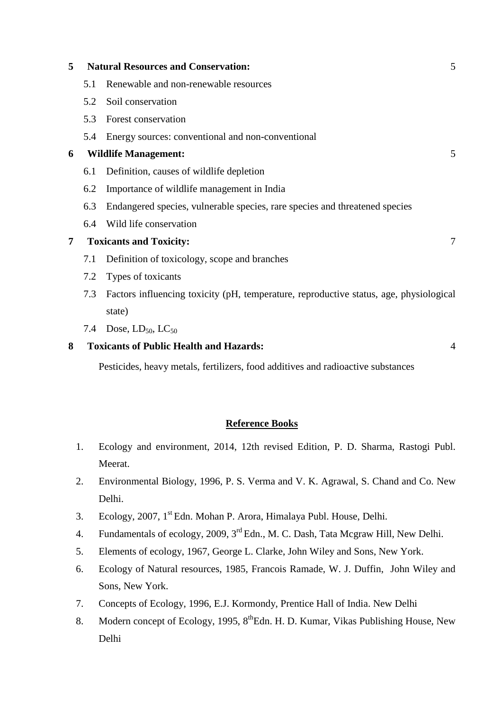| 5              |     | <b>Natural Resources and Conservation:</b>                                             | 5              |
|----------------|-----|----------------------------------------------------------------------------------------|----------------|
|                | 5.1 | Renewable and non-renewable resources                                                  |                |
|                | 5.2 | Soil conservation                                                                      |                |
|                | 5.3 | Forest conservation                                                                    |                |
|                | 5.4 | Energy sources: conventional and non-conventional                                      |                |
| 6              |     | <b>Wildlife Management:</b>                                                            | 5              |
|                | 6.1 | Definition, causes of wildlife depletion                                               |                |
|                | 6.2 | Importance of wildlife management in India                                             |                |
|                | 6.3 | Endangered species, vulnerable species, rare species and threatened species            |                |
|                | 6.4 | Wild life conservation                                                                 |                |
| $\overline{7}$ |     | <b>Toxicants and Toxicity:</b>                                                         | 7              |
|                | 7.1 | Definition of toxicology, scope and branches                                           |                |
|                | 7.2 | Types of toxicants                                                                     |                |
|                | 7.3 | Factors influencing toxicity (pH, temperature, reproductive status, age, physiological |                |
|                |     | state)                                                                                 |                |
|                |     | 7.4 Dose, $LD_{50}$ , $LC_{50}$                                                        |                |
| 8              |     | <b>Toxicants of Public Health and Hazards:</b>                                         | $\overline{A}$ |

Pesticides, heavy metals, fertilizers, food additives and radioactive substances

- 1. Ecology and environment, 2014, 12th revised Edition, P. D. Sharma, Rastogi Publ. Meerat.
- 2. Environmental Biology, 1996, P. S. Verma and V. K. Agrawal, S. Chand and Co. New Delhi.
- 3. Ecology, 2007, 1st Edn. Mohan P. Arora, Himalaya Publ. House, Delhi.
- 4. Fundamentals of ecology, 2009, 3rd Edn., M. C. Dash, Tata Mcgraw Hill, New Delhi.
- 5. Elements of ecology, 1967, George L. Clarke, John Wiley and Sons, New York.
- 6. Ecology of Natural resources, 1985, Francois Ramade, W. J. Duffin, John Wiley and Sons, New York.
- 7. Concepts of Ecology, 1996, E.J. Kormondy, Prentice Hall of India. New Delhi
- 8. Modern concept of Ecology, 1995, 8<sup>th</sup>Edn. H. D. Kumar, Vikas Publishing House, New Delhi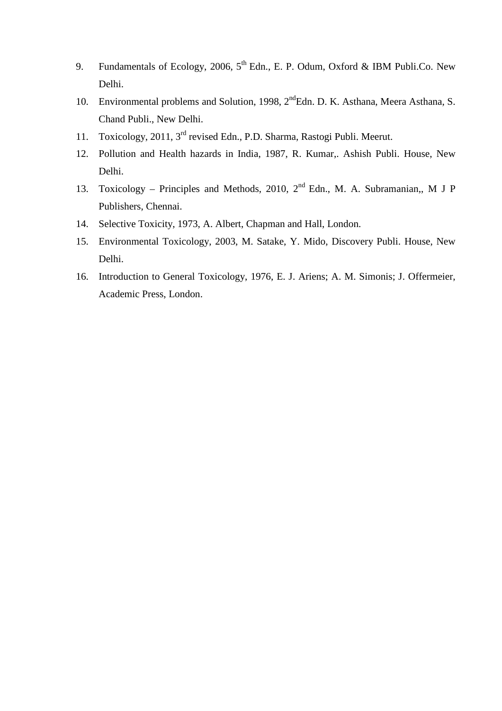- 9. Fundamentals of Ecology, 2006,  $5^{th}$  Edn., E. P. Odum, Oxford & IBM Publi.Co. New Delhi.
- 10. Environmental problems and Solution, 1998, 2<sup>nd</sup>Edn. D. K. Asthana, Meera Asthana, S. Chand Publi., New Delhi.
- 11. Toxicology, 2011, 3rd revised Edn., P.D. Sharma, Rastogi Publi. Meerut.
- 12. Pollution and Health hazards in India, 1987, R. Kumar,. Ashish Publi. House, New Delhi.
- 13. Toxicology Principles and Methods, 2010,  $2<sup>nd</sup>$  Edn., M. A. Subramanian,, M J P Publishers, Chennai.
- 14. Selective Toxicity, 1973, A. Albert, Chapman and Hall, London.
- 15. Environmental Toxicology, 2003, M. Satake, Y. Mido, Discovery Publi. House, New Delhi.
- 16. Introduction to General Toxicology, 1976, E. J. Ariens; A. M. Simonis; J. Offermeier, Academic Press, London.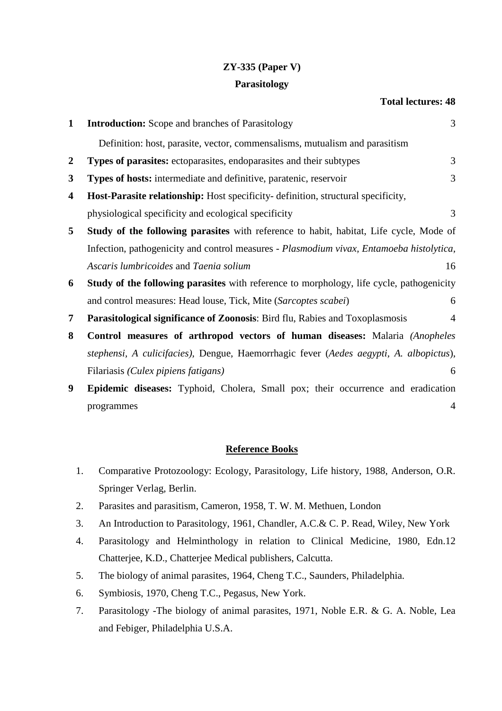# **ZY-335 (Paper V)**

## **Parasitology**

## **Total lectures: 48**

| $\mathbf{1}$            | <b>Introduction:</b> Scope and branches of Parasitology                                       | 3              |
|-------------------------|-----------------------------------------------------------------------------------------------|----------------|
|                         | Definition: host, parasite, vector, commensalisms, mutualism and parasitism                   |                |
| $\boldsymbol{2}$        | <b>Types of parasites:</b> ectoparasites, endoparasites and their subtypes                    | 3              |
| 3                       | Types of hosts: intermediate and definitive, paratenic, reservoir                             | 3              |
| $\overline{\mathbf{4}}$ | Host-Parasite relationship: Host specificity- definition, structural specificity,             |                |
|                         | physiological specificity and ecological specificity                                          | 3              |
| 5                       | <b>Study of the following parasites</b> with reference to habit, habitat, Life cycle, Mode of |                |
|                         | Infection, pathogenicity and control measures - Plasmodium vivax, Entamoeba histolytica,      |                |
|                         | Ascaris lumbricoides and Taenia solium                                                        | 16             |
| 6                       | Study of the following parasites with reference to morphology, life cycle, pathogenicity      |                |
|                         | and control measures: Head louse, Tick, Mite (Sarcoptes scabei)                               | 6              |
| 7                       | Parasitological significance of Zoonosis: Bird flu, Rabies and Toxoplasmosis                  | $\overline{4}$ |
| 8                       | <b>Control measures of arthropod vectors of human diseases:</b> Malaria (Anopheles            |                |
|                         | stephensi, A culicifacies), Dengue, Haemorrhagic fever (Aedes aegypti, A. albopictus),        |                |
|                         | Filariasis (Culex pipiens fatigans)                                                           | 6              |
| 9                       | Epidemic diseases: Typhoid, Cholera, Small pox; their occurrence and eradication              |                |
|                         | programmes                                                                                    | 4              |

- 1. Comparative Protozoology: Ecology, Parasitology, Life history, 1988, Anderson, O.R. Springer Verlag, Berlin.
- 2. Parasites and parasitism, Cameron, 1958, T. W. M. Methuen, London
- 3. An Introduction to Parasitology, 1961, Chandler, A.C.& C. P. Read, Wiley, New York
- 4. Parasitology and Helminthology in relation to Clinical Medicine, 1980, Edn.12 Chatterjee, K.D., Chatterjee Medical publishers, Calcutta.
- 5. The biology of animal parasites, 1964, Cheng T.C., Saunders, Philadelphia.
- 6. Symbiosis, 1970, Cheng T.C., Pegasus, New York.
- 7. Parasitology -The biology of animal parasites, 1971, Noble E.R. & G. A. Noble, Lea and Febiger, Philadelphia U.S.A.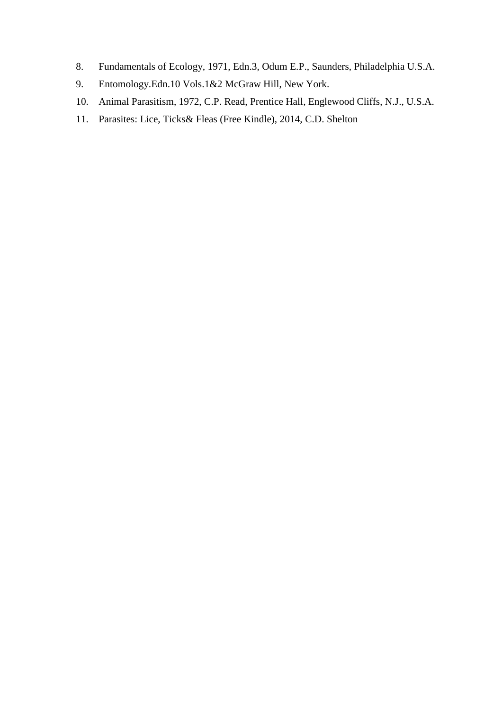- 8. Fundamentals of Ecology, 1971, Edn.3, Odum E.P., Saunders, Philadelphia U.S.A.
- 9. Entomology.Edn.10 Vols.1&2 McGraw Hill, New York.
- 10. Animal Parasitism, 1972, C.P. Read, Prentice Hall, Englewood Cliffs, N.J., U.S.A.
- 11. Parasites: Lice, Ticks& Fleas (Free Kindle), 2014, C.D. Shelton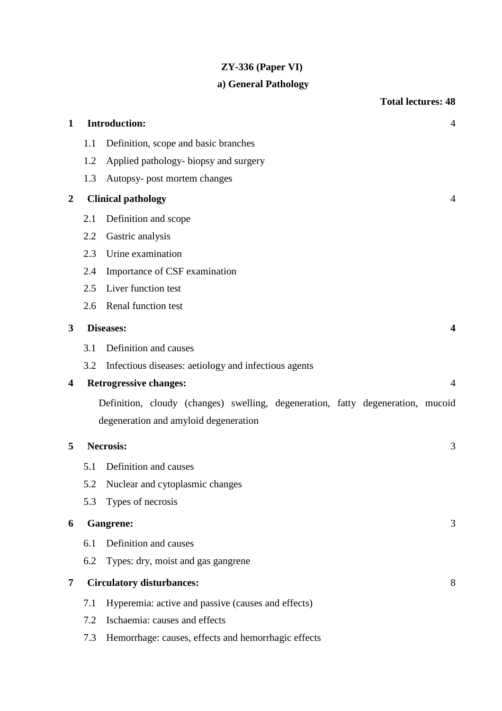# **ZY-336 (Paper VI)**

# **a) General Pathology**

|                  |                                                                                 | <b>Total lectures: 48</b>                            |  |
|------------------|---------------------------------------------------------------------------------|------------------------------------------------------|--|
| $\mathbf{1}$     |                                                                                 | <b>Introduction:</b><br>$\overline{4}$               |  |
|                  | 1.1                                                                             | Definition, scope and basic branches                 |  |
|                  | 1.2                                                                             | Applied pathology-biopsy and surgery                 |  |
|                  | 1.3                                                                             | Autopsy- post mortem changes                         |  |
| $\boldsymbol{2}$ |                                                                                 | <b>Clinical pathology</b><br>$\overline{4}$          |  |
|                  | 2.1                                                                             | Definition and scope                                 |  |
|                  | 2.2                                                                             | Gastric analysis                                     |  |
|                  | 2.3                                                                             | Urine examination                                    |  |
|                  | 2.4                                                                             | Importance of CSF examination                        |  |
|                  | 2.5                                                                             | Liver function test                                  |  |
|                  | 2.6                                                                             | Renal function test                                  |  |
| 3                |                                                                                 | Diseases:<br>4                                       |  |
|                  | 3.1                                                                             | Definition and causes                                |  |
|                  | 3.2                                                                             | Infectious diseases: aetiology and infectious agents |  |
| 4                |                                                                                 | <b>Retrogressive changes:</b><br>$\overline{4}$      |  |
|                  | Definition, cloudy (changes) swelling, degeneration, fatty degeneration, mucoid |                                                      |  |
|                  |                                                                                 | degeneration and amyloid degeneration                |  |
| 5                |                                                                                 | <b>Necrosis:</b><br>3                                |  |
|                  | 5.1                                                                             | Definition and causes                                |  |
|                  | 5.2                                                                             | Nuclear and cytoplasmic changes                      |  |
|                  | 5.3                                                                             | Types of necrosis                                    |  |
| 6                |                                                                                 | <b>Gangrene:</b><br>3                                |  |
|                  | 6.1                                                                             | Definition and causes                                |  |
|                  | 6.2                                                                             | Types: dry, moist and gas gangrene                   |  |
| 7                |                                                                                 | <b>Circulatory disturbances:</b><br>8                |  |
|                  | 7.1                                                                             | Hyperemia: active and passive (causes and effects)   |  |
|                  | 7.2                                                                             | Ischaemia: causes and effects                        |  |
|                  | 7.3                                                                             | Hemorrhage: causes, effects and hemorrhagic effects  |  |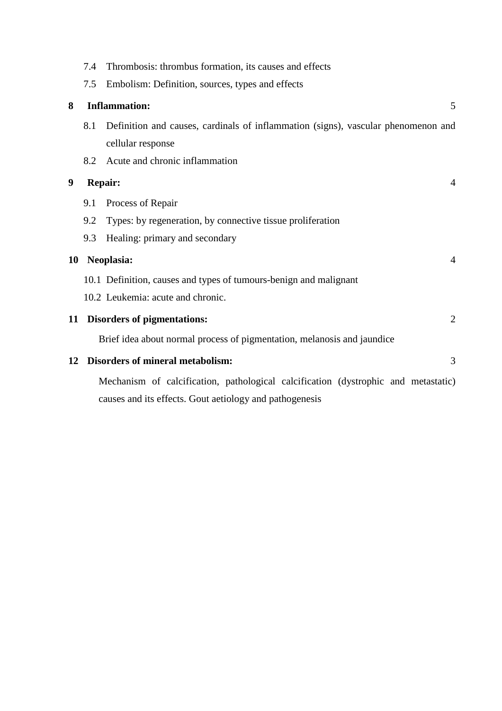|    | 7.4 | Thrombosis: thrombus formation, its causes and effects                             |
|----|-----|------------------------------------------------------------------------------------|
|    | 7.5 | Embolism: Definition, sources, types and effects                                   |
| 8  |     | <b>Inflammation:</b><br>5                                                          |
|    | 8.1 | Definition and causes, cardinals of inflammation (signs), vascular phenomenon and  |
|    |     | cellular response                                                                  |
|    | 8.2 | Acute and chronic inflammation                                                     |
| 9  |     | Repair:<br>$\overline{4}$                                                          |
|    | 9.1 | Process of Repair                                                                  |
|    | 9.2 | Types: by regeneration, by connective tissue proliferation                         |
|    | 9.3 | Healing: primary and secondary                                                     |
| 10 |     | Neoplasia:<br>$\overline{4}$                                                       |
|    |     | 10.1 Definition, causes and types of tumours-benign and malignant                  |
|    |     | 10.2 Leukemia: acute and chronic.                                                  |
| 11 |     | <b>Disorders of pigmentations:</b><br>$\overline{2}$                               |
|    |     | Brief idea about normal process of pigmentation, melanosis and jaundice            |
| 12 |     | <b>Disorders of mineral metabolism:</b><br>3                                       |
|    |     | Mechanism of calcification, pathological calcification (dystrophic and metastatic) |
|    |     | causes and its effects. Gout aetiology and pathogenesis                            |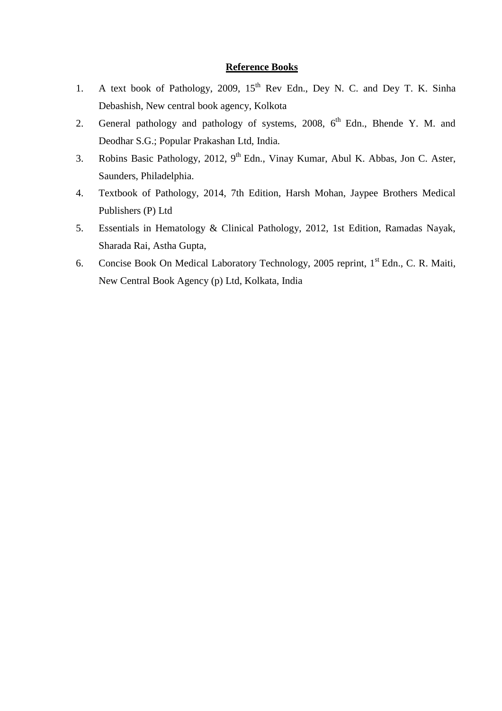- 1. A text book of Pathology, 2009,  $15<sup>th</sup>$  Rev Edn., Dey N. C. and Dey T. K. Sinha Debashish, New central book agency, Kolkota
- 2. General pathology and pathology of systems, 2008, 6<sup>th</sup> Edn., Bhende Y. M. and Deodhar S.G.; Popular Prakashan Ltd, India.
- 3. Robins Basic Pathology, 2012, 9<sup>th</sup> Edn., Vinay Kumar, Abul K. Abbas, Jon C. Aster, Saunders, Philadelphia.
- 4. Textbook of Pathology, 2014, 7th Edition, Harsh Mohan, Jaypee Brothers Medical Publishers (P) Ltd
- 5. Essentials in Hematology & Clinical Pathology, 2012, 1st Edition, Ramadas Nayak, Sharada Rai, Astha Gupta,
- 6. Concise Book On Medical Laboratory Technology, 2005 reprint, 1<sup>st</sup> Edn., C. R. Maiti, New Central Book Agency (p) Ltd, Kolkata, India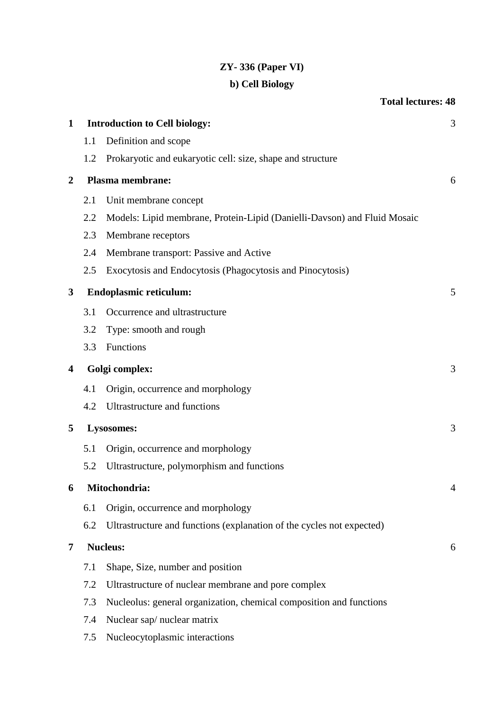# **ZY- 336 (Paper VI)**

# **b) Cell Biology**

|                         |     | <b>Total lectures: 48</b>                                                |   |
|-------------------------|-----|--------------------------------------------------------------------------|---|
| $\mathbf{1}$            |     | <b>Introduction to Cell biology:</b>                                     | 3 |
|                         | 1.1 | Definition and scope                                                     |   |
|                         | 1.2 | Prokaryotic and eukaryotic cell: size, shape and structure               |   |
| $\boldsymbol{2}$        |     | Plasma membrane:                                                         | 6 |
|                         | 2.1 | Unit membrane concept                                                    |   |
|                         | 2.2 | Models: Lipid membrane, Protein-Lipid (Danielli-Davson) and Fluid Mosaic |   |
|                         | 2.3 | Membrane receptors                                                       |   |
|                         | 2.4 | Membrane transport: Passive and Active                                   |   |
|                         | 2.5 | Exocytosis and Endocytosis (Phagocytosis and Pinocytosis)                |   |
| 3                       |     | <b>Endoplasmic reticulum:</b>                                            | 5 |
|                         | 3.1 | Occurrence and ultrastructure                                            |   |
|                         | 3.2 | Type: smooth and rough                                                   |   |
|                         | 3.3 | Functions                                                                |   |
| $\overline{\mathbf{4}}$ |     | Golgi complex:                                                           | 3 |
|                         | 4.1 | Origin, occurrence and morphology                                        |   |
|                         | 4.2 | Ultrastructure and functions                                             |   |
| 5                       |     | Lysosomes:                                                               | 3 |
|                         | 5.1 | Origin, occurrence and morphology                                        |   |
|                         | 5.2 | Ultrastructure, polymorphism and functions                               |   |
| 6                       |     | Mitochondria:                                                            | 4 |
|                         | 6.1 | Origin, occurrence and morphology                                        |   |
|                         | 6.2 | Ultrastructure and functions (explanation of the cycles not expected)    |   |
| 7                       |     | <b>Nucleus:</b>                                                          | 6 |
|                         | 7.1 | Shape, Size, number and position                                         |   |
|                         | 7.2 | Ultrastructure of nuclear membrane and pore complex                      |   |
|                         | 7.3 | Nucleolus: general organization, chemical composition and functions      |   |
|                         | 7.4 | Nuclear sap/nuclear matrix                                               |   |
|                         |     |                                                                          |   |

7.5 Nucleocytoplasmic interactions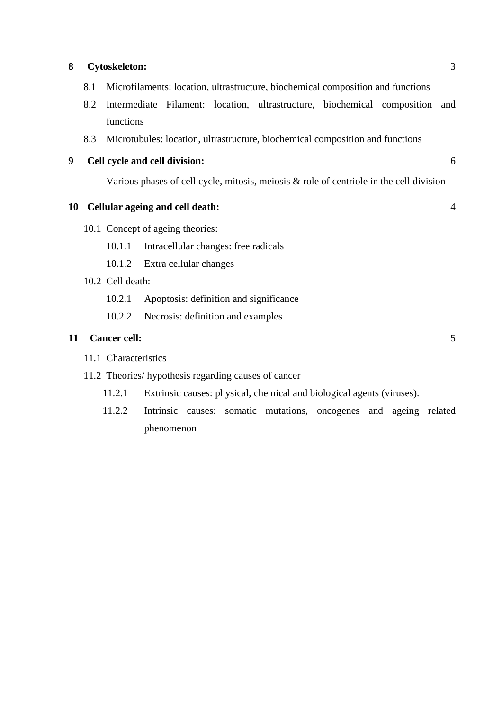#### **8 Cytoskeleton:** 3

- 8.1 Microfilaments: location, ultrastructure, biochemical composition and functions
- 8.2 Intermediate Filament: location, ultrastructure, biochemical composition and functions
- 8.3 Microtubules: location, ultrastructure, biochemical composition and functions
- **9 Cell cycle and cell division:** 6

Various phases of cell cycle, mitosis, meiosis & role of centriole in the cell division

### **10 Cellular ageing and cell death:** 4

10.1 Concept of ageing theories:

10.1.1 Intracellular changes: free radicals

- 10.1.2 Extra cellular changes
- 10.2 Cell death:
	- 10.2.1 Apoptosis: definition and significance
	- 10.2.2 Necrosis: definition and examples

#### **11 Cancer cell:** 5

- 11.1 Characteristics
- 11.2 Theories/ hypothesis regarding causes of cancer
	- 11.2.1 Extrinsic causes: physical, chemical and biological agents (viruses).
	- 11.2.2 Intrinsic causes: somatic mutations, oncogenes and ageing related phenomenon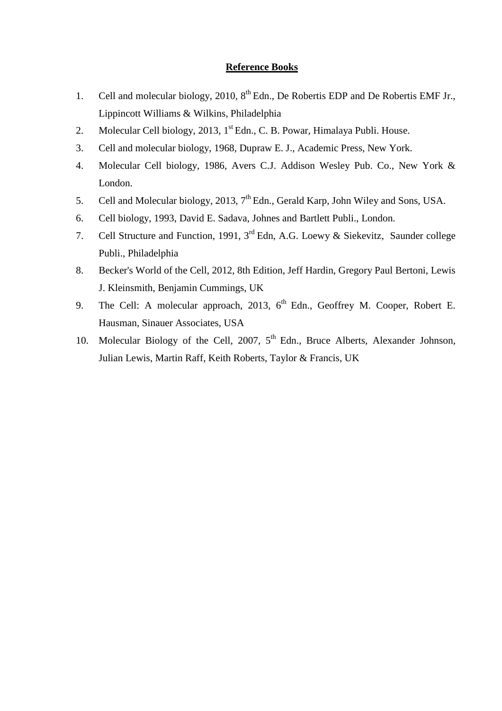- 1. Cell and molecular biology, 2010,  $8<sup>th</sup>$  Edn., De Robertis EDP and De Robertis EMF Jr., Lippincott Williams & Wilkins, Philadelphia
- 2. Molecular Cell biology, 2013, 1<sup>st</sup> Edn., C. B. Powar, Himalaya Publi. House.
- 3. Cell and molecular biology, 1968, Dupraw E. J., Academic Press, New York.
- 4. Molecular Cell biology, 1986, Avers C.J. Addison Wesley Pub. Co., New York & London.
- 5. Cell and Molecular biology, 2013,  $7<sup>th</sup>$  Edn., Gerald Karp, John Wiley and Sons, USA.
- 6. Cell biology, 1993, David E. Sadava, Johnes and Bartlett Publi., London.
- 7. Cell Structure and Function, 1991, 3rd Edn, A.G. Loewy & Siekevitz, Saunder college Publi., Philadelphia
- 8. Becker's World of the Cell, 2012, 8th Edition, Jeff Hardin, Gregory Paul Bertoni, Lewis J. Kleinsmith, Benjamin Cummings, UK
- 9. The Cell: A molecular approach, 2013,  $6<sup>th</sup>$  Edn., Geoffrey M. Cooper, Robert E. Hausman, Sinauer Associates, USA
- 10. Molecular Biology of the Cell, 2007,  $5<sup>th</sup>$  Edn., Bruce Alberts, Alexander Johnson, Julian Lewis, Martin Raff, Keith Roberts, Taylor & Francis, UK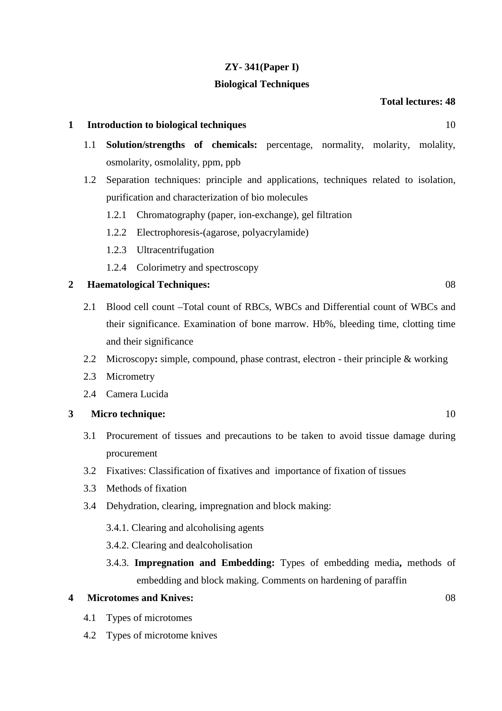## **ZY- 341(Paper I)**

### **Biological Techniques**

## **Total lectures: 48**

### **1 Introduction to biological techniques** 10

- 1.1 **Solution/strengths of chemicals:** percentage, normality, molarity, molality, osmolarity, osmolality, ppm, ppb
- 1.2 Separation techniques: principle and applications, techniques related to isolation, purification and characterization of bio molecules
	- 1.2.1 Chromatography (paper, ion-exchange), gel filtration
	- 1.2.2 Electrophoresis-(agarose, polyacrylamide)
	- 1.2.3 Ultracentrifugation
	- 1.2.4 Colorimetry and spectroscopy

## **2 Haematological Techniques:** 08

- 2.1 Blood cell count –Total count of RBCs, WBCs and Differential count of WBCs and their significance. Examination of bone marrow. Hb%, bleeding time, clotting time and their significance
- 2.2 Microscopy**:** simple, compound, phase contrast, electron their principle & working
- 2.3 Micrometry
- 2.4 Camera Lucida

## **3 Micro technique:** 10

- 3.1 Procurement of tissues and precautions to be taken to avoid tissue damage during procurement
- 3.2 Fixatives: Classification of fixatives and importance of fixation of tissues
- 3.3 Methods of fixation
- 3.4 Dehydration, clearing, impregnation and block making:
	- 3.4.1. Clearing and alcoholising agents
	- 3.4.2. Clearing and dealcoholisation
	- 3.4.3. **Impregnation and Embedding:** Types of embedding media**,** methods of embedding and block making. Comments on hardening of paraffin

#### **4 Microtomes and Knives:** 08

- 4.1 Types of microtomes
- 4.2 Types of microtome knives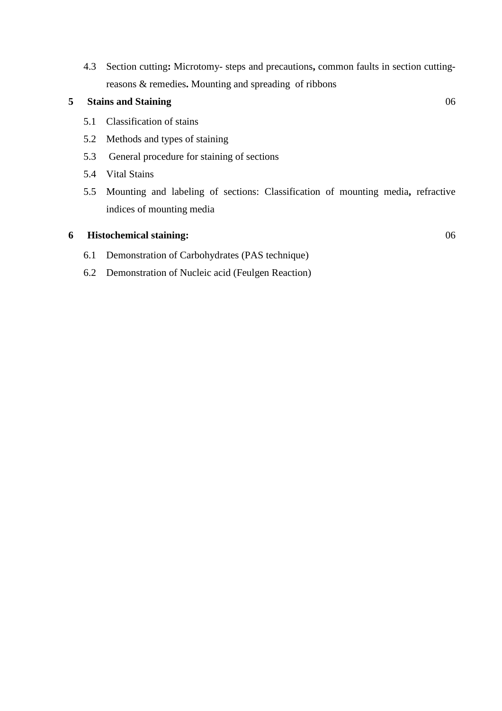4.3 Section cutting**:** Microtomy- steps and precautions**,** common faults in section cuttingreasons & remedies**.** Mounting and spreading of ribbons

# **5 Stains and Staining** 06

- 5.1 Classification of stains
- 5.2 Methods and types of staining
- 5.3 General procedure for staining of sections
- 5.4 Vital Stains
- 5.5 Mounting and labeling of sections: Classification of mounting media**,** refractive indices of mounting media

## **6 Histochemical staining:** 06

- 6.1 Demonstration of Carbohydrates (PAS technique)
- 6.2 Demonstration of Nucleic acid (Feulgen Reaction)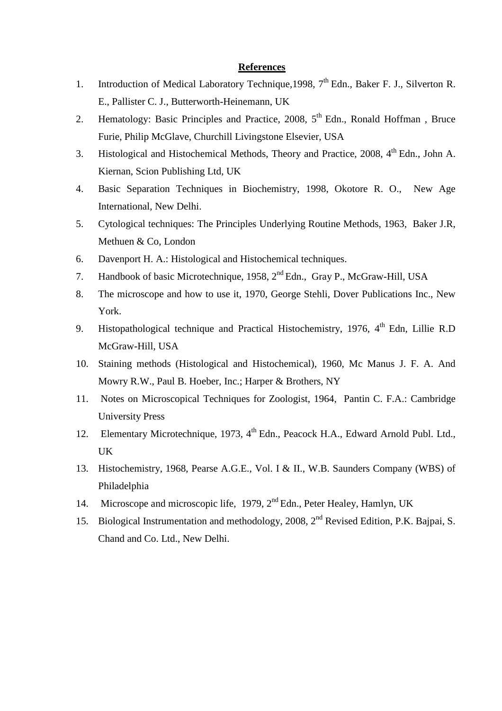#### **References**

- 1. Introduction of Medical Laboratory Technique, 1998, 7<sup>th</sup> Edn., Baker F. J., Silverton R. E., Pallister C. J., Butterworth-Heinemann, UK
- 2. Hematology: Basic Principles and Practice,  $2008$ ,  $5<sup>th</sup>$  Edn., Ronald Hoffman, Bruce Furie, Philip McGlave, Churchill Livingstone Elsevier, USA
- 3. Histological and Histochemical Methods, Theory and Practice,  $2008$ ,  $4<sup>th</sup>$  Edn., John A. Kiernan, Scion Publishing Ltd, UK
- 4. Basic Separation Techniques in Biochemistry, 1998, Okotore R. O., New Age International, New Delhi.
- 5. Cytological techniques: The Principles Underlying Routine Methods, 1963, Baker J.R, Methuen & Co, London
- 6. Davenport H. A.: Histological and Histochemical techniques.
- 7. Handbook of basic Microtechnique, 1958, 2<sup>nd</sup> Edn., Gray P., McGraw-Hill, USA
- 8. The microscope and how to use it, 1970, George Stehli, Dover Publications Inc., New York.
- 9. Histopathological technique and Practical Histochemistry, 1976, 4<sup>th</sup> Edn, Lillie R.D McGraw-Hill, USA
- 10. Staining methods (Histological and Histochemical), 1960, Mc Manus J. F. A. And Mowry R.W., Paul B. Hoeber, Inc.; Harper & Brothers, NY
- 11. Notes on Microscopical Techniques for Zoologist, 1964, Pantin C. F.A.: Cambridge University Press
- 12. Elementary Microtechnique, 1973, 4<sup>th</sup> Edn., Peacock H.A., Edward Arnold Publ. Ltd., UK
- 13. Histochemistry, 1968, Pearse A.G.E., Vol. I & II., W.B. Saunders Company (WBS) of Philadelphia
- 14. Microscope and microscopic life, 1979, 2nd Edn., Peter Healey, Hamlyn, UK
- 15. Biological Instrumentation and methodology, 2008, 2<sup>nd</sup> Revised Edition, P.K. Bajpai, S. Chand and Co. Ltd., New Delhi.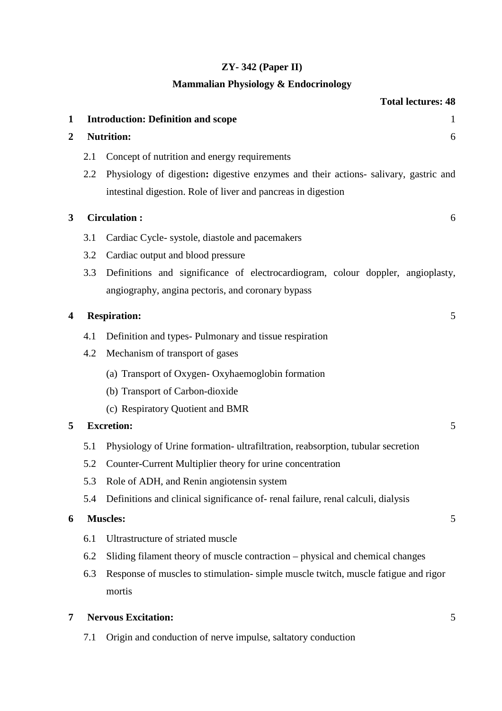# **ZY- 342 (Paper II)**

# **Mammalian Physiology & Endocrinology**

|                  |     | <b>Total lectures: 48</b>                                                           |              |
|------------------|-----|-------------------------------------------------------------------------------------|--------------|
| 1                |     | <b>Introduction: Definition and scope</b>                                           | $\mathbf{1}$ |
| $\boldsymbol{2}$ |     | <b>Nutrition:</b>                                                                   | 6            |
|                  | 2.1 | Concept of nutrition and energy requirements                                        |              |
|                  | 2.2 | Physiology of digestion: digestive enzymes and their actions- salivary, gastric and |              |
|                  |     | intestinal digestion. Role of liver and pancreas in digestion                       |              |
| $\mathbf{3}$     |     | <b>Circulation:</b>                                                                 | 6            |
|                  | 3.1 | Cardiac Cycle-systole, diastole and pacemakers                                      |              |
|                  | 3.2 | Cardiac output and blood pressure                                                   |              |
|                  | 3.3 | Definitions and significance of electrocardiogram, colour doppler, angioplasty,     |              |
|                  |     | angiography, angina pectoris, and coronary bypass                                   |              |
| 4                |     | <b>Respiration:</b>                                                                 | 5            |
|                  | 4.1 | Definition and types-Pulmonary and tissue respiration                               |              |
|                  | 4.2 | Mechanism of transport of gases                                                     |              |
|                  |     | (a) Transport of Oxygen-Oxyhaemoglobin formation                                    |              |
|                  |     | (b) Transport of Carbon-dioxide                                                     |              |
|                  |     | (c) Respiratory Quotient and BMR                                                    |              |
| 5                |     | <b>Excretion:</b>                                                                   | 5            |
|                  | 5.1 | Physiology of Urine formation-ultrafiltration, reabsorption, tubular secretion      |              |
|                  | 5.2 | Counter-Current Multiplier theory for urine concentration                           |              |
|                  | 5.3 | Role of ADH, and Renin angiotensin system                                           |              |
|                  | 5.4 | Definitions and clinical significance of-renal failure, renal calculi, dialysis     |              |
| 6                |     | <b>Muscles:</b>                                                                     | 5            |
|                  | 6.1 | Ultrastructure of striated muscle                                                   |              |
|                  | 6.2 | Sliding filament theory of muscle contraction – physical and chemical changes       |              |
|                  | 6.3 | Response of muscles to stimulation-simple muscle twitch, muscle fatigue and rigor   |              |
|                  |     | mortis                                                                              |              |
| 7                |     | <b>Nervous Excitation:</b>                                                          | 5            |
|                  | 7.1 | Origin and conduction of nerve impulse, saltatory conduction                        |              |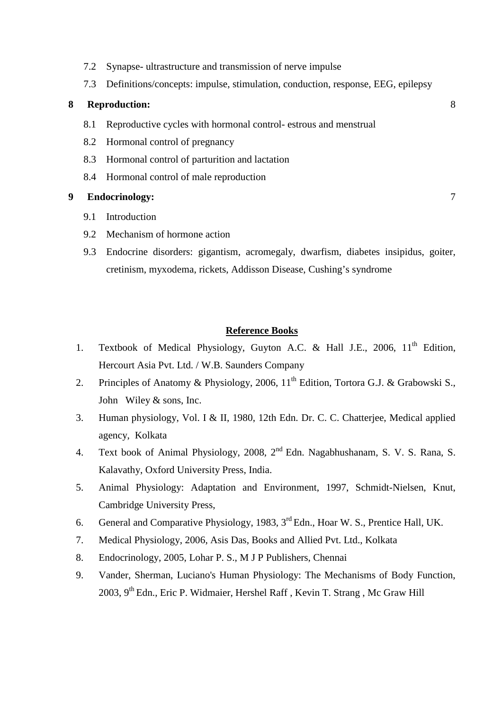- 7.2 Synapse- ultrastructure and transmission of nerve impulse
- 7.3 Definitions/concepts: impulse, stimulation, conduction, response, EEG, epilepsy

#### **8 Reproduction:** 8

- 8.1 Reproductive cycles with hormonal control- estrous and menstrual
- 8.2 Hormonal control of pregnancy
- 8.3 Hormonal control of parturition and lactation
- 8.4 Hormonal control of male reproduction

#### **9 Endocrinology:** 7

- 9.1 Introduction
- 9.2 Mechanism of hormone action
- 9.3 Endocrine disorders: gigantism, acromegaly, dwarfism, diabetes insipidus, goiter, cretinism, myxodema, rickets, Addisson Disease, Cushing's syndrome

- 1. Textbook of Medical Physiology, Guyton A.C. & Hall J.E., 2006, 11<sup>th</sup> Edition, Hercourt Asia Pvt. Ltd. / W.B. Saunders Company
- 2. Principles of Anatomy & Physiology, 2006,  $11<sup>th</sup>$  Edition, Tortora G.J. & Grabowski S., John Wiley & sons, Inc.
- 3. Human physiology, Vol. I & II, 1980, 12th Edn. Dr. C. C. Chatterjee, Medical applied agency, Kolkata
- 4. Text book of Animal Physiology, 2008, 2nd Edn. Nagabhushanam, S. V. S. Rana, S. Kalavathy, Oxford University Press, India.
- 5. Animal Physiology: Adaptation and Environment, 1997, Schmidt-Nielsen, Knut, Cambridge University Press,
- 6. General and Comparative Physiology, 1983, 3rd Edn., Hoar W. S., Prentice Hall, UK.
- 7. Medical Physiology, 2006, Asis Das, Books and Allied Pvt. Ltd., Kolkata
- 8. Endocrinology, 2005, Lohar P. S., M J P Publishers, Chennai
- 9. Vander, Sherman, Luciano's Human Physiology: The Mechanisms of Body Function, 2003, 9th Edn., Eric P. Widmaier, Hershel Raff , Kevin T. Strang , Mc Graw Hill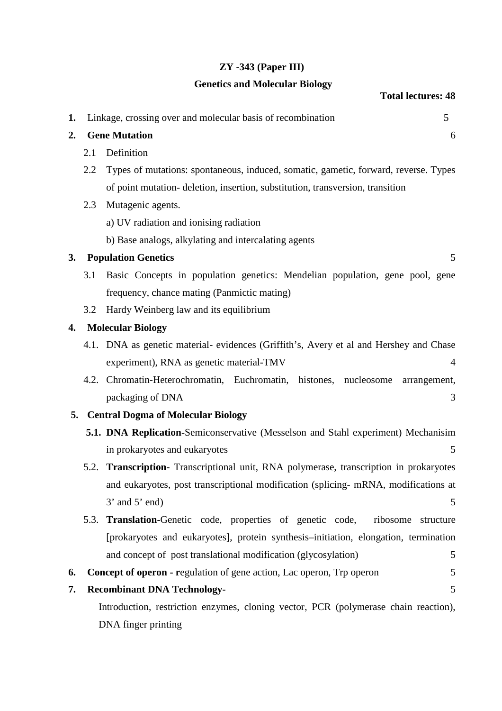## **ZY -343 (Paper III)**

### **Genetics and Molecular Biology**

# **Total lectures: 48**

| 1. |      | Linkage, crossing over and molecular basis of recombination<br>5                       |
|----|------|----------------------------------------------------------------------------------------|
| 2. |      | <b>Gene Mutation</b><br>6                                                              |
|    | 2.1  | Definition                                                                             |
|    | 2.2  | Types of mutations: spontaneous, induced, somatic, gametic, forward, reverse. Types    |
|    |      | of point mutation- deletion, insertion, substitution, transversion, transition         |
|    | 2.3  | Mutagenic agents.                                                                      |
|    |      | a) UV radiation and ionising radiation                                                 |
|    |      | b) Base analogs, alkylating and intercalating agents                                   |
| 3. |      | <b>Population Genetics</b><br>5                                                        |
|    | 3.1  | Basic Concepts in population genetics: Mendelian population, gene pool, gene           |
|    |      | frequency, chance mating (Panmictic mating)                                            |
|    | 3.2  | Hardy Weinberg law and its equilibrium                                                 |
| 4. |      | <b>Molecular Biology</b>                                                               |
|    |      | 4.1. DNA as genetic material- evidences (Griffith's, Avery et al and Hershey and Chase |
|    |      | experiment), RNA as genetic material-TMV<br>$\overline{4}$                             |
|    |      | 4.2. Chromatin-Heterochromatin, Euchromatin, histones,<br>nucleosome<br>arrangement,   |
|    |      | packaging of DNA<br>3                                                                  |
| 5. |      | <b>Central Dogma of Molecular Biology</b>                                              |
|    |      | 5.1. DNA Replication-Semiconservative (Messelson and Stahl experiment) Mechanisim      |
|    |      | in prokaryotes and eukaryotes<br>5                                                     |
|    | 5.2. | Transcription- Transcriptional unit, RNA polymerase, transcription in prokaryotes      |
|    |      | and eukaryotes, post transcriptional modification (splicing- mRNA, modifications at    |

5.3. **Translation-**Genetic code, properties of genetic code, ribosome structure [prokaryotes and eukaryotes], protein synthesis–initiation, elongation, termination and concept of post translational modification (glycosylation) 5

 $3'$  and  $5'$  end)  $5'$ 

- **6.** Concept of operon regulation of gene action, Lac operon, Trp operon 5
- **7. Recombinant DNA Technology-** 5 Introduction, restriction enzymes, cloning vector, PCR (polymerase chain reaction),

DNA finger printing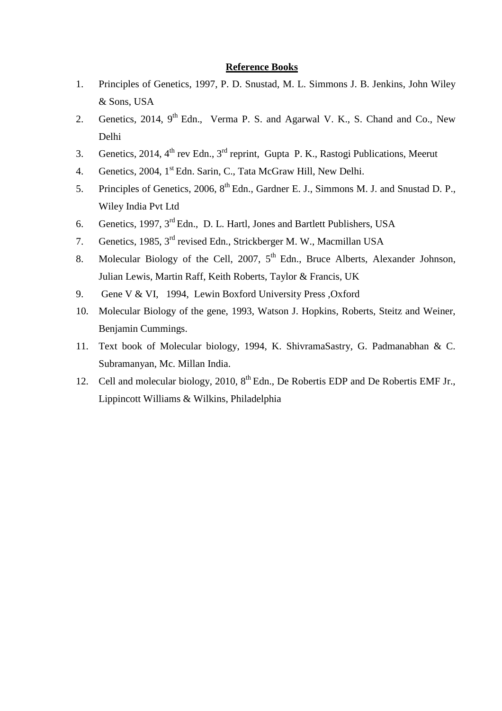- 1. Principles of Genetics, 1997, P. D. Snustad, M. L. Simmons J. B. Jenkins, John Wiley & Sons, USA
- 2. Genetics, 2014, 9<sup>th</sup> Edn., Verma P. S. and Agarwal V. K., S. Chand and Co., New Delhi
- 3. Genetics, 2014, 4<sup>th</sup> rev Edn., 3<sup>rd</sup> reprint, Gupta P. K., Rastogi Publications, Meerut
- 4. Genetics, 2004, 1<sup>st</sup> Edn. Sarin, C., Tata McGraw Hill, New Delhi.
- 5. Principles of Genetics, 2006, 8<sup>th</sup> Edn., Gardner E. J., Simmons M. J. and Snustad D. P., Wiley India Pvt Ltd
- 6. Genetics, 1997, 3rd Edn., D. L. Hartl, Jones and Bartlett Publishers, USA
- 7. Genetics, 1985, 3rd revised Edn., Strickberger M. W., Macmillan USA
- 8. Molecular Biology of the Cell, 2007, 5<sup>th</sup> Edn., Bruce Alberts, Alexander Johnson, Julian Lewis, Martin Raff, Keith Roberts, Taylor & Francis, UK
- 9. Gene V & VI, 1994, Lewin Boxford University Press ,Oxford
- 10. Molecular Biology of the gene, 1993, Watson J. Hopkins, Roberts, Steitz and Weiner, Benjamin Cummings.
- 11. Text book of Molecular biology, 1994, K. ShivramaSastry, G. Padmanabhan & C. Subramanyan, Mc. Millan India.
- 12. Cell and molecular biology, 2010,  $8<sup>th</sup>$  Edn., De Robertis EDP and De Robertis EMF Jr., Lippincott Williams & Wilkins, Philadelphia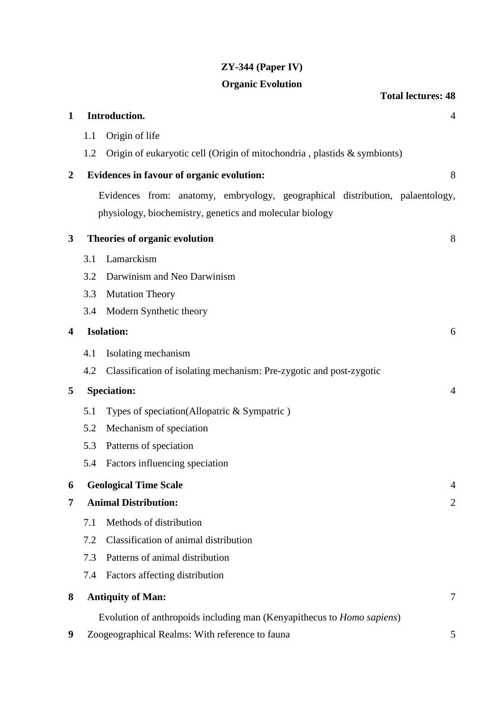# **ZY-344 (Paper IV)**

# **Organic Evolution**

|                  |     |                                                                                | <b>Total lectures: 48</b> |
|------------------|-----|--------------------------------------------------------------------------------|---------------------------|
| $\mathbf{1}$     |     | Introduction.                                                                  | 4                         |
|                  | 1.1 | Origin of life                                                                 |                           |
|                  | 1.2 | Origin of eukaryotic cell (Origin of mitochondria, plastids & symbionts)       |                           |
| $\boldsymbol{2}$ |     | Evidences in favour of organic evolution:                                      | 8                         |
|                  |     | Evidences from: anatomy, embryology, geographical distribution, palaentology,  |                           |
|                  |     | physiology, biochemistry, genetics and molecular biology                       |                           |
| 3                |     | Theories of organic evolution                                                  | 8                         |
|                  | 3.1 | Lamarckism                                                                     |                           |
|                  | 3.2 | Darwinism and Neo Darwinism                                                    |                           |
|                  | 3.3 | <b>Mutation Theory</b>                                                         |                           |
|                  | 3.4 | Modern Synthetic theory                                                        |                           |
| 4                |     | <b>Isolation:</b>                                                              | 6                         |
|                  | 4.1 | Isolating mechanism                                                            |                           |
|                  | 4.2 | Classification of isolating mechanism: Pre-zygotic and post-zygotic            |                           |
| 5                |     | <b>Speciation:</b>                                                             | $\overline{4}$            |
|                  | 5.1 | Types of speciation(Allopatric & Sympatric)                                    |                           |
|                  | 5.2 | Mechanism of speciation                                                        |                           |
|                  | 5.3 | Patterns of speciation                                                         |                           |
|                  | 5.4 | Factors influencing speciation                                                 |                           |
| 6                |     | <b>Geological Time Scale</b>                                                   | $\overline{4}$            |
| 7                |     | <b>Animal Distribution:</b>                                                    | $\overline{2}$            |
|                  | 7.1 | Methods of distribution                                                        |                           |
|                  | 7.2 | Classification of animal distribution                                          |                           |
|                  | 7.3 | Patterns of animal distribution                                                |                           |
|                  | 7.4 | Factors affecting distribution                                                 |                           |
| 8                |     | <b>Antiquity of Man:</b>                                                       | 7                         |
|                  |     | Evolution of anthropoids including man (Kenyapithecus to <i>Homo sapiens</i> ) |                           |
| 9                |     | Zoogeographical Realms: With reference to fauna                                | 5                         |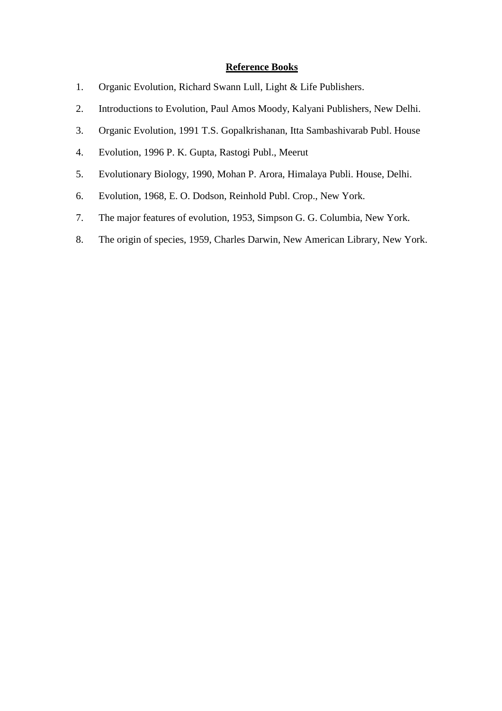- 1. Organic Evolution, Richard Swann Lull, Light & Life Publishers.
- 2. Introductions to Evolution, Paul Amos Moody, Kalyani Publishers, New Delhi.
- 3. Organic Evolution, 1991 T.S. Gopalkrishanan, Itta Sambashivarab Publ. House
- 4. Evolution, 1996 P. K. Gupta, Rastogi Publ., Meerut
- 5. Evolutionary Biology, 1990, Mohan P. Arora, Himalaya Publi. House, Delhi.
- 6. Evolution, 1968, E. O. Dodson, Reinhold Publ. Crop., New York.
- 7. The major features of evolution, 1953, Simpson G. G. Columbia, New York.
- 8. The origin of species, 1959, Charles Darwin, New American Library, New York.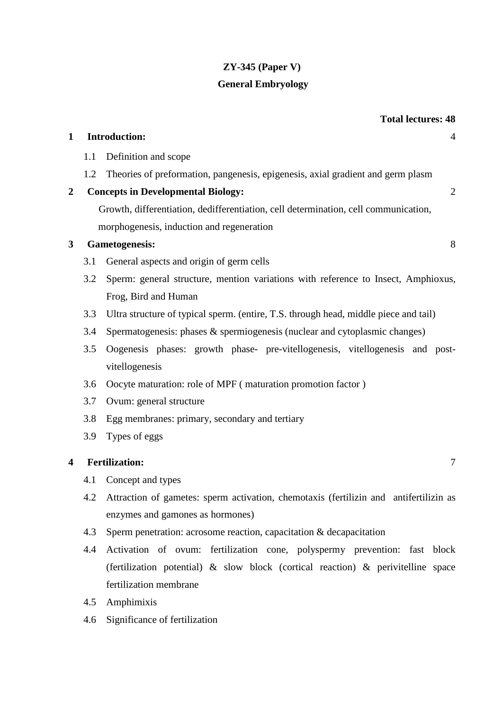# **ZY-345 (Paper V)**

# **General Embryology**

|              |     | <b>Total lectures: 48</b>                                                             |
|--------------|-----|---------------------------------------------------------------------------------------|
| $\mathbf{1}$ |     | <b>Introduction:</b><br>4                                                             |
|              | 1.1 | Definition and scope                                                                  |
|              | 1.2 | Theories of preformation, pangenesis, epigenesis, axial gradient and germ plasm       |
| $\mathbf 2$  |     | <b>Concepts in Developmental Biology:</b><br>$\overline{2}$                           |
|              |     | Growth, differentiation, dedifferentiation, cell determination, cell communication,   |
|              |     | morphogenesis, induction and regeneration                                             |
| 3            |     | <b>Gametogenesis:</b><br>8                                                            |
|              | 3.1 | General aspects and origin of germ cells                                              |
|              | 3.2 | Sperm: general structure, mention variations with reference to Insect, Amphioxus,     |
|              |     | Frog, Bird and Human                                                                  |
|              | 3.3 | Ultra structure of typical sperm. (entire, T.S. through head, middle piece and tail)  |
|              | 3.4 | Spermatogenesis: phases & spermiogenesis (nuclear and cytoplasmic changes)            |
|              | 3.5 | Oogenesis phases: growth phase- pre-vitellogenesis, vitellogenesis and post-          |
|              |     | vitellogenesis                                                                        |
|              | 3.6 | Oocyte maturation: role of MPF (maturation promotion factor)                          |
|              | 3.7 | Ovum: general structure                                                               |
|              | 3.8 | Egg membranes: primary, secondary and tertiary                                        |
|              | 3.9 | Types of eggs                                                                         |
| 4            |     | <b>Fertilization:</b><br>$\overline{7}$                                               |
|              | 4.1 | Concept and types                                                                     |
|              | 4.2 | Attraction of gametes: sperm activation, chemotaxis (fertilizin and antifertilizin as |
|              |     | enzymes and gamones as hormones)                                                      |
|              | 4.3 | Sperm penetration: acrosome reaction, capacitation & decapacitation                   |

- 4.4 Activation of ovum: fertilization cone, polyspermy prevention: fast block (fertilization potential) & slow block (cortical reaction) & perivitelline space fertilization membrane
- 4.5 Amphimixis
- 4.6 Significance of fertilization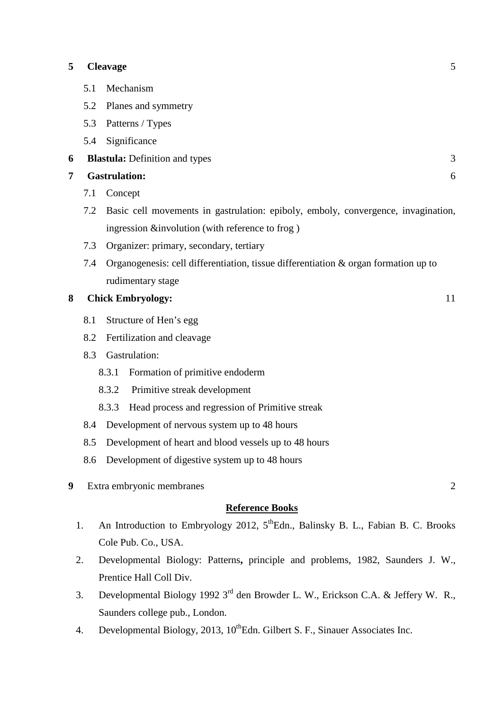#### **5 Cleavage** 5

- 5.1 Mechanism
- 5.2 Planes and symmetry
- 5.3 Patterns / Types
- 5.4 Significance
- **6 Blastula:** Definition and types3

### **7 Gastrulation:** 6

- 7.1 Concept
- 7.2 Basic cell movements in gastrulation: epiboly, emboly, convergence, invagination, ingression &involution (with reference to frog )
- 7.3 Organizer: primary, secondary, tertiary
- 7.4 Organogenesis: cell differentiation, tissue differentiation & organ formation up to rudimentary stage

## **8 Chick Embryology:** 11

- 8.1 Structure of Hen's egg
- 8.2 Fertilization and cleavage
- 8.3 Gastrulation:
	- 8.3.1 Formation of primitive endoderm
	- 8.3.2 Primitive streak development
	- 8.3.3 Head process and regression of Primitive streak
- 8.4 Development of nervous system up to 48 hours
- 8.5 Development of heart and blood vessels up to 48 hours
- 8.6 Development of digestive system up to 48 hours
- **9** Extra embryonic membranes 2

- 1. An Introduction to Embryology 2012, 5<sup>th</sup>Edn., Balinsky B. L., Fabian B. C. Brooks Cole Pub. Co., USA.
- 2. Developmental Biology: Patterns**,** principle and problems, 1982, Saunders J. W., Prentice Hall Coll Div.
- 3. Developmental Biology 1992 3rd den Browder L. W., Erickson C.A. & Jeffery W. R., Saunders college pub., London.
- 4. Developmental Biology, 2013,  $10^{th}$ Edn. Gilbert S. F., Sinauer Associates Inc.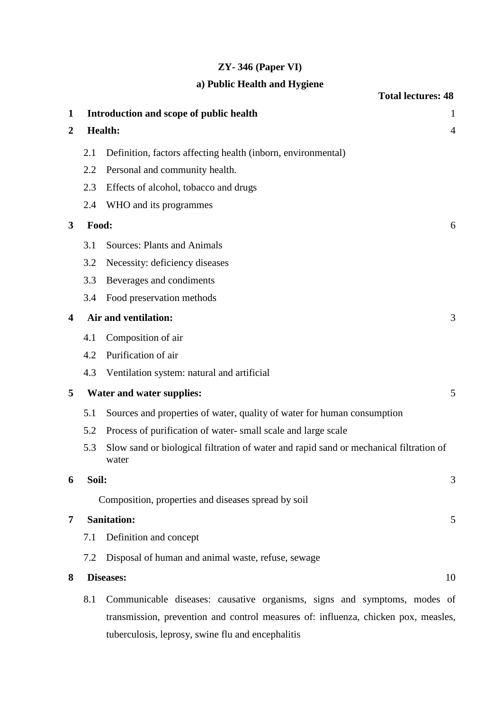# **ZY- 346 (Paper VI)**

# **a) Public Health and Hygiene**

|     | <b>Total lectures: 48</b>                                                                       |
|-----|-------------------------------------------------------------------------------------------------|
|     | Introduction and scope of public health<br>$\mathbf{1}$                                         |
|     | <b>Health:</b><br>$\overline{4}$                                                                |
| 2.1 | Definition, factors affecting health (inborn, environmental)                                    |
| 2.2 | Personal and community health.                                                                  |
| 2.3 | Effects of alcohol, tobacco and drugs                                                           |
| 2.4 | WHO and its programmes                                                                          |
|     | 6                                                                                               |
| 3.1 | <b>Sources: Plants and Animals</b>                                                              |
| 3.2 | Necessity: deficiency diseases                                                                  |
| 3.3 | Beverages and condiments                                                                        |
| 3.4 | Food preservation methods                                                                       |
|     | Air and ventilation:<br>3                                                                       |
| 4.1 | Composition of air                                                                              |
| 4.2 | Purification of air                                                                             |
| 4.3 | Ventilation system: natural and artificial                                                      |
|     | Water and water supplies:<br>5                                                                  |
| 5.1 | Sources and properties of water, quality of water for human consumption                         |
| 5.2 | Process of purification of water-small scale and large scale                                    |
| 5.3 | Slow sand or biological filtration of water and rapid sand or mechanical filtration of<br>water |
|     | 3                                                                                               |
|     | Composition, properties and diseases spread by soil                                             |
|     | <b>Sanitation:</b><br>5                                                                         |
| 7.1 | Definition and concept                                                                          |
| 7.2 | Disposal of human and animal waste, refuse, sewage                                              |
|     | Diseases:<br>10                                                                                 |
|     | Communicable diseases: causative organisms, signs and symptoms, modes of                        |
|     | transmission, prevention and control measures of: influenza, chicken pox, measles,              |
|     | tuberculosis, leprosy, swine flu and encephalitis                                               |
|     | Food:<br>Soil:<br>8.1                                                                           |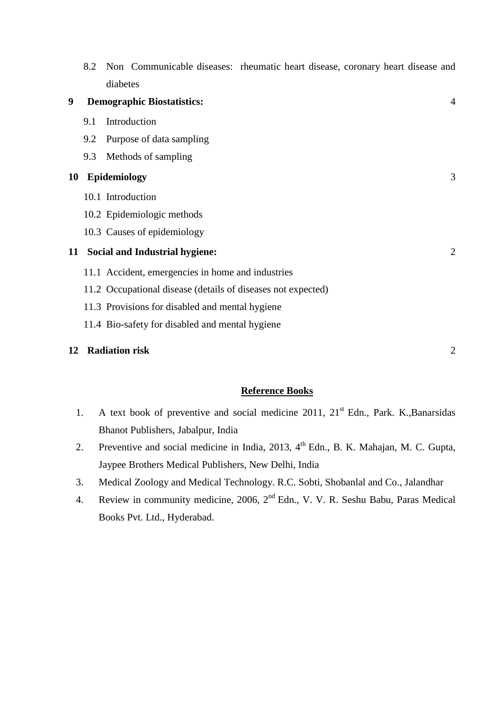|    | 8.2 | Non Communicable diseases: rheumatic heart disease, coronary heart disease and |                |
|----|-----|--------------------------------------------------------------------------------|----------------|
|    |     | diabetes                                                                       |                |
| 9  |     | <b>Demographic Biostatistics:</b>                                              | $\overline{4}$ |
|    | 9.1 | Introduction                                                                   |                |
|    | 9.2 | Purpose of data sampling                                                       |                |
|    | 9.3 | Methods of sampling                                                            |                |
| 10 |     | <b>Epidemiology</b>                                                            | 3              |
|    |     | 10.1 Introduction                                                              |                |
|    |     | 10.2 Epidemiologic methods                                                     |                |
|    |     | 10.3 Causes of epidemiology                                                    |                |
| 11 |     | <b>Social and Industrial hygiene:</b>                                          | $\overline{2}$ |
|    |     | 11.1 Accident, emergencies in home and industries                              |                |
|    |     | 11.2 Occupational disease (details of diseases not expected)                   |                |
|    |     | 11.3 Provisions for disabled and mental hygiene                                |                |
|    |     | 11.4 Bio-safety for disabled and mental hygiene                                |                |
| 12 |     | <b>Radiation risk</b>                                                          | $\overline{2}$ |

- 1. A text book of preventive and social medicine 2011, 21<sup>st</sup> Edn., Park. K.,Banarsidas Bhanot Publishers, Jabalpur, India
- 2. Preventive and social medicine in India, 2013, 4<sup>th</sup> Edn., B. K. Mahajan, M. C. Gupta, Jaypee Brothers Medical Publishers, New Delhi, India
- 3. Medical Zoology and Medical Technology. R.C. Sobti, Shobanlal and Co., Jalandhar
- 4. Review in community medicine, 2006, 2<sup>nd</sup> Edn., V. V. R. Seshu Babu, Paras Medical Books Pvt. Ltd., Hyderabad.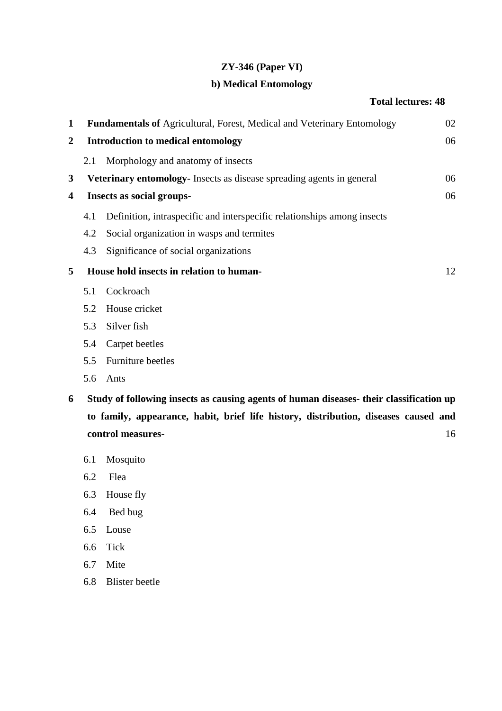## **ZY-346 (Paper VI)**

## **b) Medical Entomology**

## **Total lectures: 48**

| 1                |     | <b>Fundamentals of Agricultural, Forest, Medical and Veterinary Entomology</b>          | 02 |
|------------------|-----|-----------------------------------------------------------------------------------------|----|
| $\boldsymbol{2}$ |     | <b>Introduction to medical entomology</b>                                               | 06 |
|                  | 2.1 | Morphology and anatomy of insects                                                       |    |
| 3                |     | <b>Veterinary entomology-</b> Insects as disease spreading agents in general            | 06 |
| 4                |     | <b>Insects as social groups-</b>                                                        | 06 |
|                  | 4.1 | Definition, intraspecific and interspecific relationships among insects                 |    |
|                  | 4.2 | Social organization in wasps and termites                                               |    |
|                  | 4.3 | Significance of social organizations                                                    |    |
| 5                |     | House hold insects in relation to human-                                                | 12 |
|                  | 5.1 | Cockroach                                                                               |    |
|                  | 5.2 | House cricket                                                                           |    |
|                  | 5.3 | Silver fish                                                                             |    |
|                  | 5.4 | Carpet beetles                                                                          |    |
|                  | 5.5 | Furniture beetles                                                                       |    |
|                  | 5.6 | Ants                                                                                    |    |
| 6                |     | Study of following insects as causing agents of human diseases- their classification up |    |

- **6 Study of following insects as causing agents of human diseases- their classification up to family, appearance, habit, brief life history, distribution, diseases caused and control measures-** 16
	- 6.1 Mosquito
	- 6.2 Flea
	- 6.3 House fly
	- 6.4 Bed bug
	- 6.5 Louse
	- 6.6 Tick
	- 6.7 Mite
	- 6.8 Blister beetle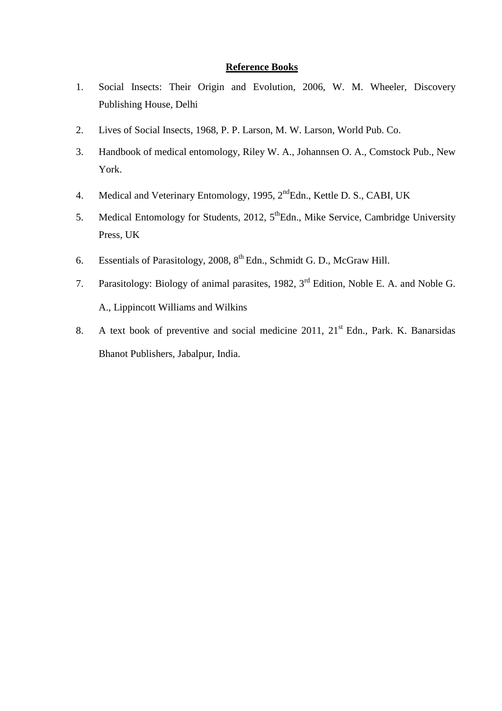- 1. Social Insects: Their Origin and Evolution, 2006, W. M. Wheeler, Discovery Publishing House, Delhi
- 2. Lives of Social Insects, 1968, P. P. Larson, M. W. Larson, World Pub. Co.
- 3. Handbook of medical entomology, Riley W. A., Johannsen O. A., Comstock Pub., New York.
- 4. Medical and Veterinary Entomology, 1995, 2<sup>nd</sup>Edn., Kettle D. S., CABI, UK
- 5. Medical Entomology for Students, 2012, 5<sup>th</sup>Edn., Mike Service, Cambridge University Press, UK
- 6. Essentials of Parasitology, 2008,  $8^{th}$  Edn., Schmidt G. D., McGraw Hill.
- 7. Parasitology: Biology of animal parasites, 1982, 3<sup>rd</sup> Edition, Noble E. A. and Noble G. A., Lippincott Williams and Wilkins
- 8. A text book of preventive and social medicine  $2011$ ,  $21<sup>st</sup>$  Edn., Park. K. Banarsidas Bhanot Publishers, Jabalpur, India.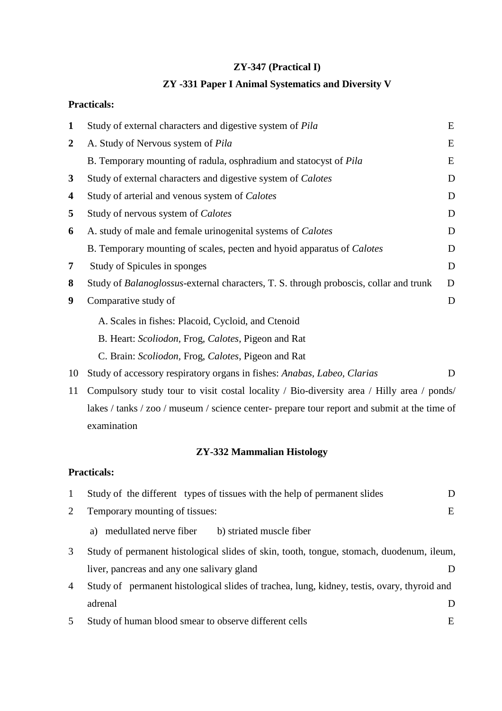# **ZY-347 (Practical I)**

# **ZY -331 Paper I Animal Systematics and Diversity V**

## **Practicals:**

| $\mathbf{1}$     | Study of external characters and digestive system of Pila                                     | E |
|------------------|-----------------------------------------------------------------------------------------------|---|
| $\boldsymbol{2}$ | A. Study of Nervous system of <i>Pila</i>                                                     | E |
|                  | B. Temporary mounting of radula, osphradium and statocyst of <i>Pila</i>                      | E |
| 3                | Study of external characters and digestive system of Calotes                                  | D |
| 4                | Study of arterial and venous system of Calotes                                                | D |
| 5                | Study of nervous system of Calotes                                                            | D |
| 6                | A. study of male and female urinogenital systems of <i>Calotes</i>                            | D |
|                  | B. Temporary mounting of scales, pecten and hyoid apparatus of <i>Calotes</i>                 | D |
| 7                | Study of Spicules in sponges                                                                  | D |
| 8                | Study of <i>Balanoglossus</i> -external characters, T. S. through proboscis, collar and trunk | D |
| 9                | Comparative study of                                                                          | D |
|                  | A. Scales in fishes: Placoid, Cycloid, and Ctenoid                                            |   |
|                  | B. Heart: Scoliodon, Frog, Calotes, Pigeon and Rat                                            |   |
|                  | C. Brain: Scoliodon, Frog, Calotes, Pigeon and Rat                                            |   |
| 10               | Study of accessory respiratory organs in fishes: Anabas, Labeo, Clarias                       | D |
| 11               | Compulsory study tour to visit costal locality / Bio-diversity area / Hilly area / ponds/     |   |

lakes / tanks / zoo / museum / science center- prepare tour report and submit at the time of examination

# **ZY-332 Mammalian Histology**

## **Practicals:**

| 1              | Study of the different types of tissues with the help of permanent slides                   | Ð |
|----------------|---------------------------------------------------------------------------------------------|---|
| 2              | Temporary mounting of tissues:                                                              | E |
|                | medullated nerve fiber<br>b) striated muscle fiber<br>a)                                    |   |
| 3              | Study of permanent histological slides of skin, tooth, tongue, stomach, duodenum, ileum,    |   |
|                | liver, pancreas and any one salivary gland                                                  |   |
| $\overline{4}$ | Study of permanent histological slides of trachea, lung, kidney, testis, ovary, thyroid and |   |
|                | adrenal                                                                                     |   |
|                | Study of human blood smear to observe different cells                                       | E |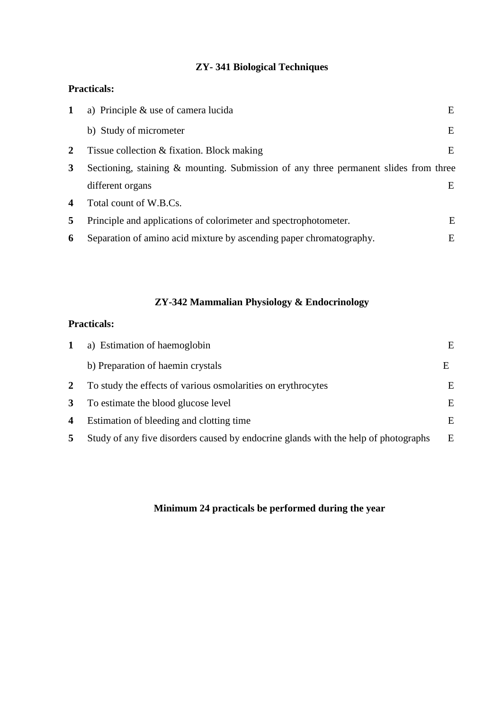# **ZY- 341 Biological Techniques**

## **Practicals:**

| 1                       | a) Principle $\&$ use of camera lucida                                               | E |
|-------------------------|--------------------------------------------------------------------------------------|---|
|                         | b) Study of micrometer                                                               | E |
| 2                       | Tissue collection & fixation. Block making                                           | E |
| 3                       | Sectioning, staining & mounting. Submission of any three permanent slides from three |   |
|                         | different organs                                                                     | E |
| $\overline{\mathbf{4}}$ | Total count of W.B.Cs.                                                               |   |
| 5                       | Principle and applications of colorimeter and spectrophotometer.                     | E |
| 6                       | Separation of amino acid mixture by ascending paper chromatography.                  | Е |

# **ZY-342 Mammalian Physiology & Endocrinology**

# **Practicals:**

| 1                | a) Estimation of haemoglobin                                                        | E. |
|------------------|-------------------------------------------------------------------------------------|----|
|                  | b) Preparation of haemin crystals                                                   | E  |
| 2                | To study the effects of various osmolarities on erythrocytes                        | E  |
| 3                | To estimate the blood glucose level                                                 | E  |
| $\boldsymbol{4}$ | Estimation of bleeding and clotting time                                            | E  |
| 5                | Study of any five disorders caused by endocrine glands with the help of photographs | E  |

# **Minimum 24 practicals be performed during the year**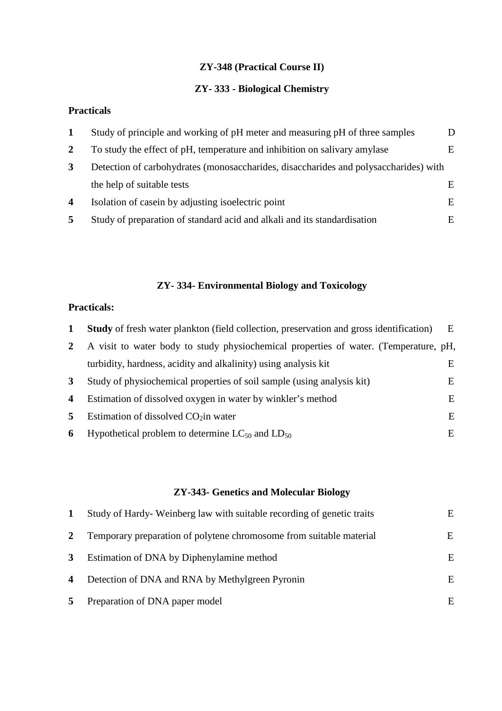# **ZY-348 (Practical Course II)**

# **ZY- 333 - Biological Chemistry**

# **Practicals**

| 1                       | Study of principle and working of pH meter and measuring pH of three samples         |   |
|-------------------------|--------------------------------------------------------------------------------------|---|
| $\mathbf{2}$            | To study the effect of pH, temperature and inhibition on salivary amylase            | E |
| 3                       | Detection of carbohydrates (monosaccharides, disaccharides and polysaccharides) with |   |
|                         | the help of suitable tests                                                           | E |
| $\overline{\mathbf{4}}$ | Isolation of case in by adjusting isolectric point                                   | E |
| 5                       | Study of preparation of standard acid and alkali and its standardisation             | E |

# **ZY- 334- Environmental Biology and Toxicology**

## **Practicals:**

|   | <b>Study</b> of fresh water plankton (field collection, preservation and gross identification) | E |
|---|------------------------------------------------------------------------------------------------|---|
|   | A visit to water body to study physiochemical properties of water. (Temperature, pH,           |   |
|   | turbidity, hardness, acidity and alkalinity) using analysis kit                                | Е |
| 3 | Study of physiochemical properties of soil sample (using analysis kit)                         | E |
| 4 | Estimation of dissolved oxygen in water by winkler's method                                    | E |
| 5 | Estimation of dissolved $CO2$ in water                                                         | Е |
| 6 | Hypothetical problem to determine $LC_{50}$ and $LD_{50}$                                      | E |

# **ZY-343- Genetics and Molecular Biology**

| $\mathbf{1}$            | Study of Hardy-Weinberg law with suitable recording of genetic traits | E  |
|-------------------------|-----------------------------------------------------------------------|----|
| $\mathbf{2}$            | Temporary preparation of polytene chromosome from suitable material   | E  |
| $\mathbf{3}$            | Estimation of DNA by Diphenylamine method                             | E. |
| $\overline{\mathbf{4}}$ | Detection of DNA and RNA by Methylgreen Pyronin                       | E  |
| 5 <sup>5</sup>          | Preparation of DNA paper model                                        | E  |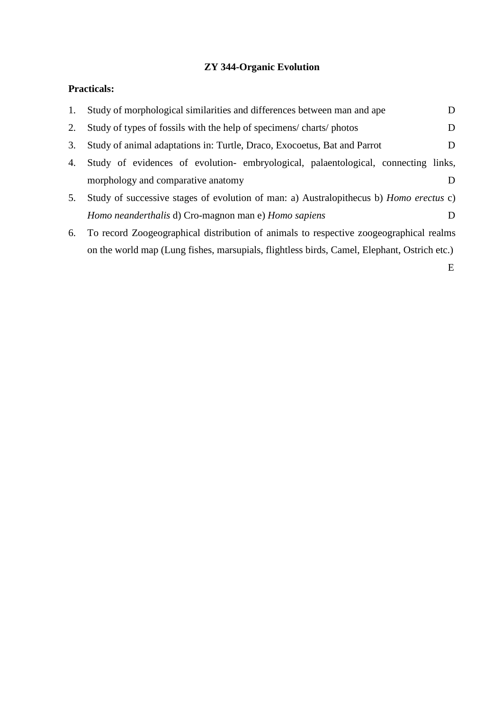# **ZY 344-Organic Evolution**

# **Practicals:**

| 1. | Study of morphological similarities and differences between man and ape                       | D              |
|----|-----------------------------------------------------------------------------------------------|----------------|
| 2. | Study of types of fossils with the help of specimens/charts/photos                            | D              |
| 3. | Study of animal adaptations in: Turtle, Draco, Exocoetus, Bat and Parrot                      | D              |
| 4. | Study of evidences of evolution- embryological, palaentological, connecting links,            |                |
|    | morphology and comparative anatomy                                                            | Ð              |
| 5. | Study of successive stages of evolution of man: a) Australopithecus b) <i>Homo erectus</i> c) |                |
|    | Homo neanderthalis d) Cro-magnon man e) Homo sapiens                                          | $\blacksquare$ |
| 6. | To record Zoogeographical distribution of animals to respective zoogeographical realms        |                |
|    | on the world map (Lung fishes, marsupials, flightless birds, Camel, Elephant, Ostrich etc.)   |                |
|    |                                                                                               | Е              |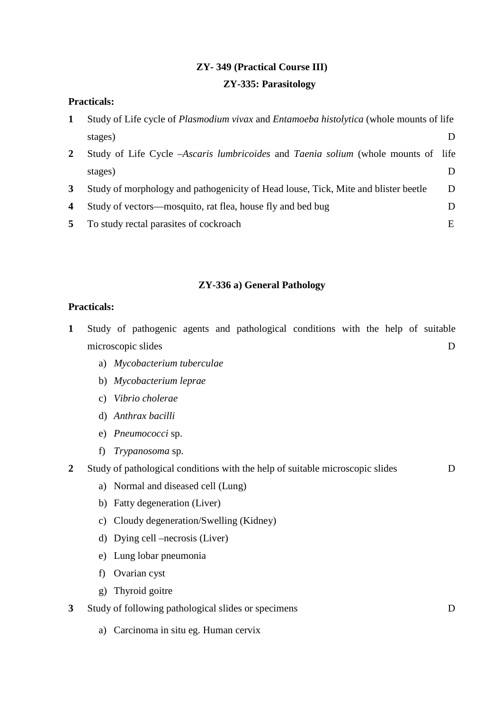# **ZY- 349 (Practical Course III) ZY-335: Parasitology**

## **Practicals:**

| 1            | Study of Life cycle of <i>Plasmodium vivax</i> and <i>Entamoeba histolytica</i> (whole mounts of life |   |
|--------------|-------------------------------------------------------------------------------------------------------|---|
|              | stages)                                                                                               |   |
| $\mathbf{2}$ | Study of Life Cycle -Ascaris lumbricoides and Taenia solium (whole mounts of life                     |   |
|              | stages)                                                                                               |   |
| $\mathbf{3}$ | Study of morphology and pathogenicity of Head louse, Tick, Mite and blister beetle                    | D |
| 4            | Study of vectors—mosquito, rat flea, house fly and bed bug                                            |   |
| 5            | To study rectal parasites of cockroach                                                                | E |

## **ZY-336 a) General Pathology**

## **Practicals:**

- **1** Study of pathogenic agents and pathological conditions with the help of suitable microscopic slides D
	- a) *Mycobacterium tuberculae*
	- b) *Mycobacterium leprae*
	- c) *Vibrio cholerae*
	- d) *Anthrax bacilli*
	- e) *Pneumococci* sp.
	- f) *Trypanosoma* sp.

## **2** Study of pathological conditions with the help of suitable microscopic slides D

- a) Normal and diseased cell (Lung)
- b) Fatty degeneration (Liver)
- c) Cloudy degeneration/Swelling (Kidney)
- d) Dying cell –necrosis (Liver)
- e) Lung lobar pneumonia
- f) Ovarian cyst
- g) Thyroid goitre
- **3** Study of following pathological slides or specimens D
	- a) Carcinoma in situ eg. Human cervix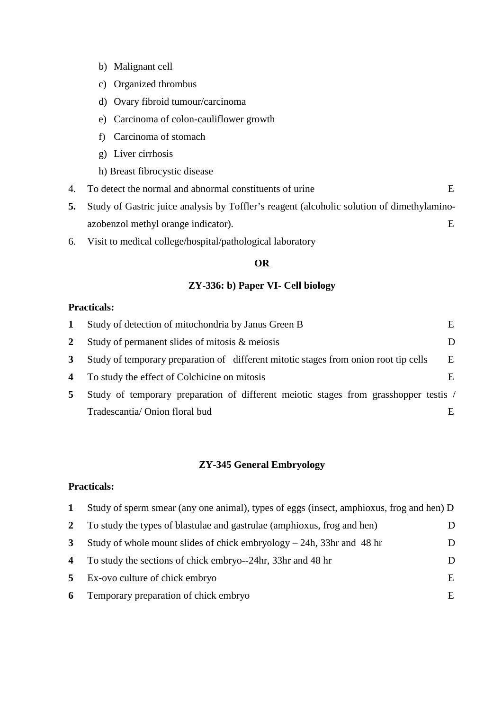- b) Malignant cell
- c) Organized thrombus
- d) Ovary fibroid tumour/carcinoma
- e) Carcinoma of colon-cauliflower growth
- f) Carcinoma of stomach
- g) Liver cirrhosis
- h) Breast fibrocystic disease
- 4. To detect the normal and abnormal constituents of urine E
- **5.** Study of Gastric juice analysis by Toffler's reagent (alcoholic solution of dimethylaminoazobenzol methyl orange indicator). E
- 6. Visit to medical college/hospital/pathological laboratory

### **OR**

### **ZY-336: b) Paper VI- Cell biology**

## **Practicals:**

|   | Study of detection of mitochondria by Janus Green B                                  | E. |
|---|--------------------------------------------------------------------------------------|----|
| 2 | Study of permanent slides of mitosis & meiosis                                       |    |
| 3 | Study of temporary preparation of different mitotic stages from onion root tip cells | E  |
| 4 | To study the effect of Colchicine on mitosis                                         | E. |
| 5 | Study of temporary preparation of different meiotic stages from grasshopper testis / |    |
|   | Tradescantia/ Onion floral bud                                                       |    |

#### **ZY-345 General Embryology**

## **Practicals:**

|                | Study of sperm smear (any one animal), types of eggs (insect, amphioxus, frog and hen) D |   |
|----------------|------------------------------------------------------------------------------------------|---|
| $\mathbf{2}$   | To study the types of blastulae and gastrulae (amphioxus, frog and hen)                  |   |
| 3              | Study of whole mount slides of chick embryology $-$ 24h, 33hr and 48 hr                  |   |
| 4              | To study the sections of chick embryo--24hr, 33hr and 48 hr                              |   |
| 5 <sup>1</sup> | Ex-ovo culture of chick embryo                                                           | E |
| 6              | Temporary preparation of chick embryo                                                    | E |
|                |                                                                                          |   |